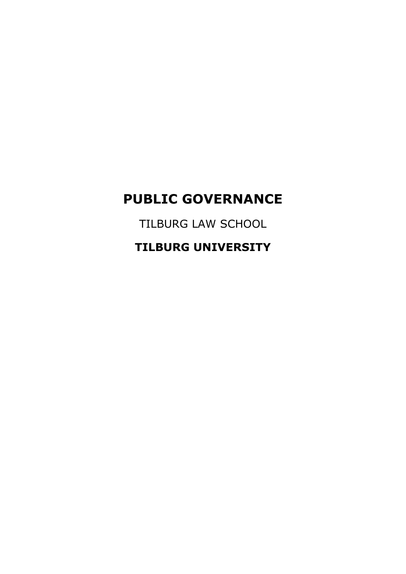# **PUBLIC GOVERNANCE**

TILBURG LAW SCHOOL

**TILBURG UNIVERSITY**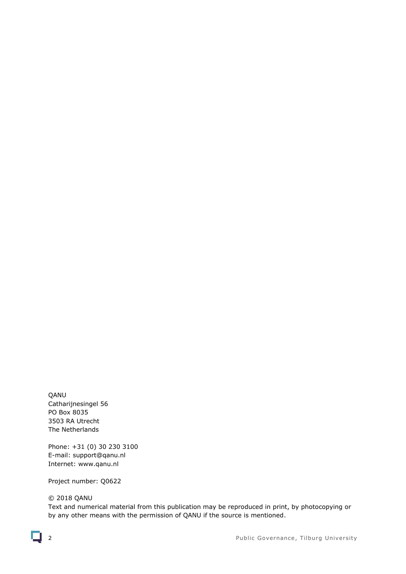QANU Catharijnesingel 56 PO Box 8035 3503 RA Utrecht The Netherlands

Phone: +31 (0) 30 230 3100 E-mail: support@qanu.nl Internet: www.qanu.nl

Project number: Q0622

### © 2018 QANU

Text and numerical material from this publication may be reproduced in print, by photocopying or by any other means with the permission of QANU if the source is mentioned.

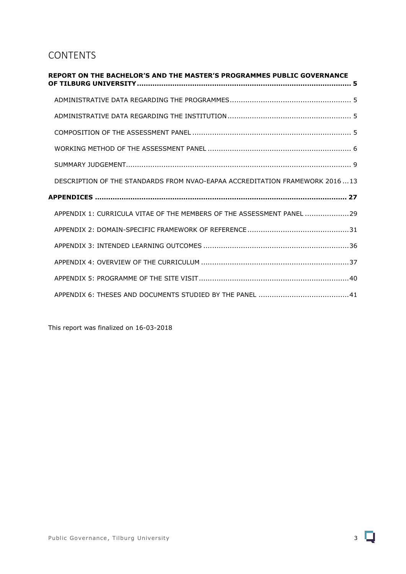## CONTENTS

| REPORT ON THE BACHELOR'S AND THE MASTER'S PROGRAMMES PUBLIC GOVERNANCE        |  |
|-------------------------------------------------------------------------------|--|
|                                                                               |  |
|                                                                               |  |
|                                                                               |  |
|                                                                               |  |
|                                                                               |  |
| DESCRIPTION OF THE STANDARDS FROM NVAO-EAPAA ACCREDITATION FRAMEWORK 2016  13 |  |
|                                                                               |  |
|                                                                               |  |
| APPENDIX 1: CURRICULA VITAE OF THE MEMBERS OF THE ASSESSMENT PANEL 29         |  |
|                                                                               |  |
|                                                                               |  |
|                                                                               |  |
|                                                                               |  |

This report was finalized on 16-03-2018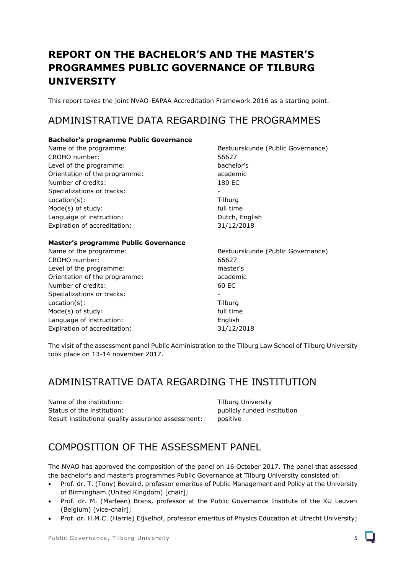## <span id="page-4-0"></span>**REPORT ON THE BACHELOR'S AND THE MASTER'S PROGRAMMES PUBLIC GOVERNANCE OF TILBURG UNIVERSITY**

This report takes the joint NVAO-EAPAA Accreditation Framework 2016 as a starting point.

## <span id="page-4-1"></span>ADMINISTRATIVE DATA REGARDING THE PROGRAMMES

## **Bachelor's programme Public Governance**

| Name of the programme:        | Bestuurskun  |
|-------------------------------|--------------|
| CROHO number:                 | 56627        |
| Level of the programme:       | bachelor's   |
| Orientation of the programme: | academic     |
| Number of credits:            | 180 EC       |
| Specializations or tracks:    |              |
| $Location(s)$ :               | Tilburg      |
| Mode(s) of study:             | full time    |
| Language of instruction:      | Dutch, Engli |
| Expiration of accreditation:  | 31/12/2018   |

## **Master's programme Public Governance**

| Name of the programme:        | Bestuurskunde (Public Governance) |
|-------------------------------|-----------------------------------|
| CROHO number:                 | 66627                             |
| Level of the programme:       | master's                          |
| Orientation of the programme: | academic                          |
| Number of credits:            | 60 EC                             |
| Specializations or tracks:    |                                   |
| $Location(s)$ :               | Tilburg                           |
| Mode(s) of study:             | full time                         |
| Language of instruction:      | English                           |
| Expiration of accreditation:  | 31/12/2018                        |
|                               |                                   |

The visit of the assessment panel Public Administration to the Tilburg Law School of Tilburg University took place on 13-14 november 2017.

## <span id="page-4-2"></span>ADMINISTRATIVE DATA REGARDING THE INSTITUTION

Name of the institution: Name of the institution: Status of the institution: example in the institution: the institution: the publicly funded institution Result institutional quality assurance assessment: positive

Bestuurskunde (Public Governance)

Tilburg full time Dutch, English

## <span id="page-4-3"></span>COMPOSITION OF THE ASSESSMENT PANEL

The NVAO has approved the composition of the panel on 16 October 2017. The panel that assessed the bachelor's and master's programmes Public Governance at Tilburg University consisted of:

- Prof. dr. T. (Tony) Bovaird, professor emeritus of Public Management and Policy at the University of Birmingham (United Kingdom) [chair];
- Prof. dr. M. (Marleen) Brans, professor at the Public Governance Institute of the KU Leuven (Belgium) [vice-chair];
- Prof. dr. H.M.C. (Harrie) Eijkelhof, professor emeritus of Physics Education at Utrecht University;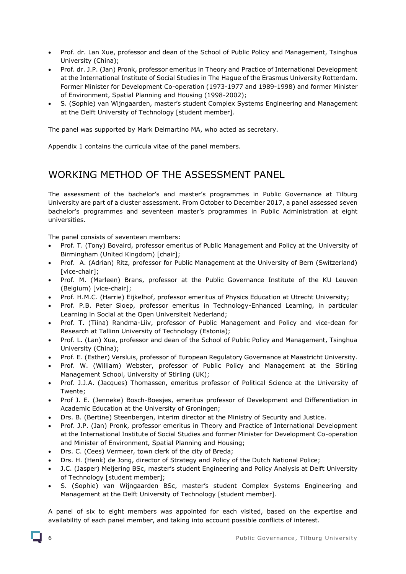- Prof. dr. Lan Xue, professor and dean of the School of Public Policy and Management, Tsinghua University (China);
- Prof. dr. J.P. (Jan) Pronk, professor emeritus in Theory and Practice of International Development at the International Institute of Social Studies in The Hague of the Erasmus University Rotterdam. Former Minister for Development Co-operation (1973-1977 and 1989-1998) and former Minister of Environment, Spatial Planning and Housing (1998-2002);
- S. (Sophie) van Wijngaarden, master's student Complex Systems Engineering and Management at the Delft University of Technology [student member].

The panel was supported by Mark Delmartino MA, who acted as secretary.

Appendix 1 contains the curricula vitae of the panel members.

## <span id="page-5-0"></span>WORKING METHOD OF THE ASSESSMENT PANEL

The assessment of the bachelor's and master's programmes in Public Governance at Tilburg University are part of a cluster assessment. From October to December 2017, a panel assessed seven bachelor's programmes and seventeen master's programmes in Public Administration at eight universities.

The panel consists of seventeen members:

- Prof. T. (Tony) Bovaird, professor emeritus of Public Management and Policy at the University of Birmingham (United Kingdom) [chair];
- Prof. A. (Adrian) Ritz, professor for Public Management at the University of Bern (Switzerland) [vice-chair];
- Prof. M. (Marleen) Brans, professor at the Public Governance Institute of the KU Leuven (Belgium) [vice-chair];
- Prof. H.M.C. (Harrie) Eijkelhof, professor emeritus of Physics Education at Utrecht University;
- Prof. P.B. Peter Sloep, professor emeritus in Technology-Enhanced Learning, in particular Learning in Social at the Open Universiteit Nederland;
- Prof. T. (Tiina) Randma-Liiv, professor of Public Management and Policy and vice-dean for Research at Tallinn University of Technology (Estonia);
- Prof. L. (Lan) Xue, professor and dean of the School of Public Policy and Management, Tsinghua University (China);
- Prof. E. (Esther) Versluis, professor of European Regulatory Governance at Maastricht University.
- Prof. W. (William) Webster, professor of Public Policy and Management at the Stirling Management School, University of Stirling (UK);
- Prof. J.J.A. (Jacques) Thomassen, emeritus professor of Political Science at the University of Twente;
- Prof J. E. (Jenneke) Bosch-Boesjes, emeritus professor of Development and Differentiation in Academic Education at the University of Groningen;
- Drs. B. (Bertine) Steenbergen, interim director at the Ministry of Security and Justice.
- Prof. J.P. (Jan) Pronk, professor emeritus in Theory and Practice of International Development at the International Institute of Social Studies and former Minister for Development Co-operation and Minister of Environment, Spatial Planning and Housing;
- Drs. C. (Cees) Vermeer, town clerk of the city of Breda;
- Drs. H. (Henk) de Jong, director of Strategy and Policy of the Dutch National Police;
- J.C. (Jasper) Meijering BSc, master's student Engineering and Policy Analysis at Delft University of Technology [student member];
- S. (Sophie) van Wijngaarden BSc, master's student Complex Systems Engineering and Management at the Delft University of Technology [student member].

A panel of six to eight members was appointed for each visited, based on the expertise and availability of each panel member, and taking into account possible conflicts of interest.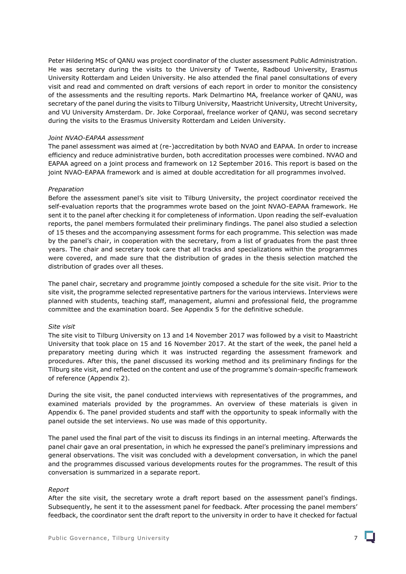Peter Hildering MSc of QANU was project coordinator of the cluster assessment Public Administration. He was secretary during the visits to the University of Twente, Radboud University, Erasmus University Rotterdam and Leiden University. He also attended the final panel consultations of every visit and read and commented on draft versions of each report in order to monitor the consistency of the assessments and the resulting reports. Mark Delmartino MA, freelance worker of QANU, was secretary of the panel during the visits to Tilburg University, Maastricht University, Utrecht University, and VU University Amsterdam. Dr. Joke Corporaal, freelance worker of QANU, was second secretary during the visits to the Erasmus University Rotterdam and Leiden University.

#### *Joint NVAO-EAPAA assessment*

The panel assessment was aimed at (re-)accreditation by both NVAO and EAPAA. In order to increase efficiency and reduce administrative burden, both accreditation processes were combined. NVAO and EAPAA agreed on a joint process and framework on 12 September 2016. This report is based on the joint NVAO-EAPAA framework and is aimed at double accreditation for all programmes involved.

#### *Preparation*

Before the assessment panel's site visit to Tilburg University, the project coordinator received the self-evaluation reports that the programmes wrote based on the joint NVAO-EAPAA framework. He sent it to the panel after checking it for completeness of information. Upon reading the self-evaluation reports, the panel members formulated their preliminary findings. The panel also studied a selection of 15 theses and the accompanying assessment forms for each programme. This selection was made by the panel's chair, in cooperation with the secretary, from a list of graduates from the past three years. The chair and secretary took care that all tracks and specializations within the programmes were covered, and made sure that the distribution of grades in the thesis selection matched the distribution of grades over all theses.

The panel chair, secretary and programme jointly composed a schedule for the site visit. Prior to the site visit, the programme selected representative partners for the various interviews. Interviews were planned with students, teaching staff, management, alumni and professional field, the programme committee and the examination board. See Appendix 5 for the definitive schedule.

#### *Site visit*

The site visit to Tilburg University on 13 and 14 November 2017 was followed by a visit to Maastricht University that took place on 15 and 16 November 2017. At the start of the week, the panel held a preparatory meeting during which it was instructed regarding the assessment framework and procedures. After this, the panel discussed its working method and its preliminary findings for the Tilburg site visit, and reflected on the content and use of the programme's domain-specific framework of reference (Appendix 2).

During the site visit, the panel conducted interviews with representatives of the programmes, and examined materials provided by the programmes. An overview of these materials is given in Appendix 6. The panel provided students and staff with the opportunity to speak informally with the panel outside the set interviews. No use was made of this opportunity.

The panel used the final part of the visit to discuss its findings in an internal meeting. Afterwards the panel chair gave an oral presentation, in which he expressed the panel's preliminary impressions and general observations. The visit was concluded with a development conversation, in which the panel and the programmes discussed various developments routes for the programmes. The result of this conversation is summarized in a separate report.

### *Report*

After the site visit, the secretary wrote a draft report based on the assessment panel's findings. Subsequently, he sent it to the assessment panel for feedback. After processing the panel members' feedback, the coordinator sent the draft report to the university in order to have it checked for factual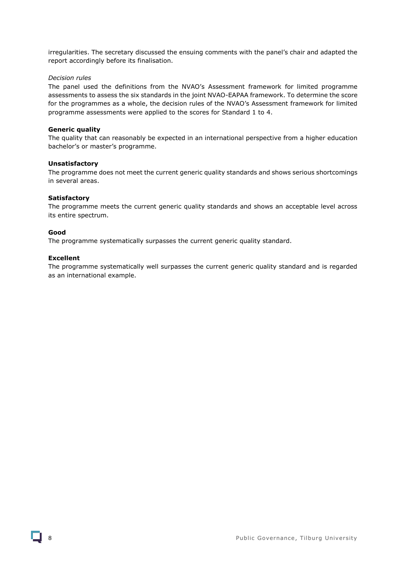irregularities. The secretary discussed the ensuing comments with the panel's chair and adapted the report accordingly before its finalisation.

#### *Decision rules*

The panel used the definitions from the NVAO's Assessment framework for limited programme assessments to assess the six standards in the joint NVAO-EAPAA framework. To determine the score for the programmes as a whole, the decision rules of the NVAO's Assessment framework for limited programme assessments were applied to the scores for Standard 1 to 4.

#### **Generic quality**

The quality that can reasonably be expected in an international perspective from a higher education bachelor's or master's programme.

#### **Unsatisfactory**

The programme does not meet the current generic quality standards and shows serious shortcomings in several areas.

#### **Satisfactory**

The programme meets the current generic quality standards and shows an acceptable level across its entire spectrum.

### **Good**

The programme systematically surpasses the current generic quality standard.

#### **Excellent**

The programme systematically well surpasses the current generic quality standard and is regarded as an international example.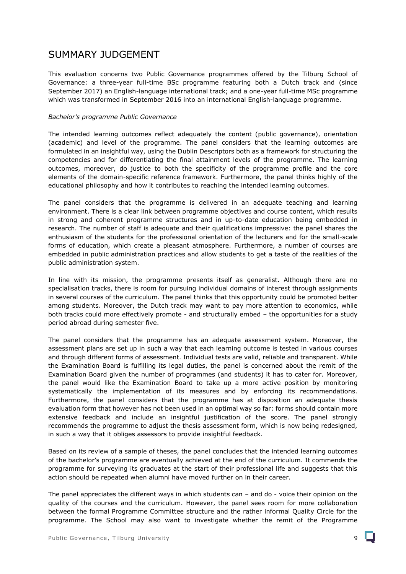## <span id="page-8-0"></span>SUMMARY JUDGEMENT

This evaluation concerns two Public Governance programmes offered by the Tilburg School of Governance: a three-year full-time BSc programme featuring both a Dutch track and (since September 2017) an English-language international track; and a one-year full-time MSc programme which was transformed in September 2016 into an international English-language programme.

### *Bachelor's programme Public Governance*

The intended learning outcomes reflect adequately the content (public governance), orientation (academic) and level of the programme. The panel considers that the learning outcomes are formulated in an insightful way, using the Dublin Descriptors both as a framework for structuring the competencies and for differentiating the final attainment levels of the programme. The learning outcomes, moreover, do justice to both the specificity of the programme profile and the core elements of the domain-specific reference framework. Furthermore, the panel thinks highly of the educational philosophy and how it contributes to reaching the intended learning outcomes.

The panel considers that the programme is delivered in an adequate teaching and learning environment. There is a clear link between programme objectives and course content, which results in strong and coherent programme structures and in up-to-date education being embedded in research. The number of staff is adequate and their qualifications impressive: the panel shares the enthusiasm of the students for the professional orientation of the lecturers and for the small-scale forms of education, which create a pleasant atmosphere. Furthermore, a number of courses are embedded in public administration practices and allow students to get a taste of the realities of the public administration system.

In line with its mission, the programme presents itself as generalist. Although there are no specialisation tracks, there is room for pursuing individual domains of interest through assignments in several courses of the curriculum. The panel thinks that this opportunity could be promoted better among students. Moreover, the Dutch track may want to pay more attention to economics, while both tracks could more effectively promote - and structurally embed – the opportunities for a study period abroad during semester five.

The panel considers that the programme has an adequate assessment system. Moreover, the assessment plans are set up in such a way that each learning outcome is tested in various courses and through different forms of assessment. Individual tests are valid, reliable and transparent. While the Examination Board is fulfilling its legal duties, the panel is concerned about the remit of the Examination Board given the number of programmes (and students) it has to cater for. Moreover, the panel would like the Examination Board to take up a more active position by monitoring systematically the implementation of its measures and by enforcing its recommendations. Furthermore, the panel considers that the programme has at disposition an adequate thesis evaluation form that however has not been used in an optimal way so far: forms should contain more extensive feedback and include an insightful justification of the score. The panel strongly recommends the programme to adjust the thesis assessment form, which is now being redesigned, in such a way that it obliges assessors to provide insightful feedback.

Based on its review of a sample of theses, the panel concludes that the intended learning outcomes of the bachelor's programme are eventually achieved at the end of the curriculum. It commends the programme for surveying its graduates at the start of their professional life and suggests that this action should be repeated when alumni have moved further on in their career.

The panel appreciates the different ways in which students can – and do - voice their opinion on the quality of the courses and the curriculum. However, the panel sees room for more collaboration between the formal Programme Committee structure and the rather informal Quality Circle for the programme. The School may also want to investigate whether the remit of the Programme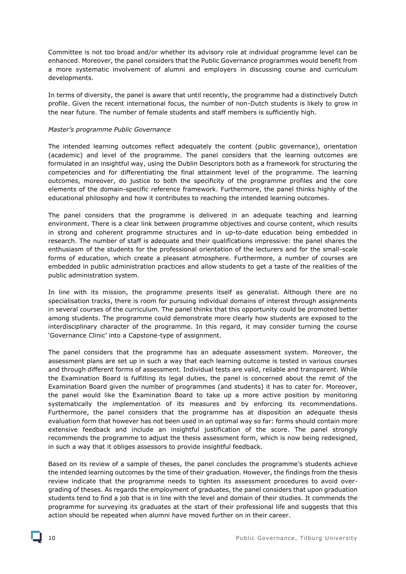Committee is not too broad and/or whether its advisory role at individual programme level can be enhanced. Moreover, the panel considers that the Public Governance programmes would benefit from a more systematic involvement of alumni and employers in discussing course and curriculum developments.

In terms of diversity, the panel is aware that until recently, the programme had a distinctively Dutch profile. Given the recent international focus, the number of non-Dutch students is likely to grow in the near future. The number of female students and staff members is sufficiently high.

#### *Master's programme Public Governance*

The intended learning outcomes reflect adequately the content (public governance), orientation (academic) and level of the programme. The panel considers that the learning outcomes are formulated in an insightful way, using the Dublin Descriptors both as a framework for structuring the competencies and for differentiating the final attainment level of the programme. The learning outcomes, moreover, do justice to both the specificity of the programme profiles and the core elements of the domain-specific reference framework. Furthermore, the panel thinks highly of the educational philosophy and how it contributes to reaching the intended learning outcomes.

The panel considers that the programme is delivered in an adequate teaching and learning environment. There is a clear link between programme objectives and course content, which results in strong and coherent programme structures and in up-to-date education being embedded in research. The number of staff is adequate and their qualifications impressive: the panel shares the enthusiasm of the students for the professional orientation of the lecturers and for the small-scale forms of education, which create a pleasant atmosphere. Furthermore, a number of courses are embedded in public administration practices and allow students to get a taste of the realities of the public administration system.

In line with its mission, the programme presents itself as generalist. Although there are no specialisation tracks, there is room for pursuing individual domains of interest through assignments in several courses of the curriculum. The panel thinks that this opportunity could be promoted better among students. The programme could demonstrate more clearly how students are exposed to the interdisciplinary character of the programme. In this regard, it may consider turning the course 'Governance Clinic' into a Capstone-type of assignment.

The panel considers that the programme has an adequate assessment system. Moreover, the assessment plans are set up in such a way that each learning outcome is tested in various courses and through different forms of assessment. Individual tests are valid, reliable and transparent. While the Examination Board is fulfilling its legal duties, the panel is concerned about the remit of the Examination Board given the number of programmes (and students) it has to cater for. Moreover, the panel would like the Examination Board to take up a more active position by monitoring systematically the implementation of its measures and by enforcing its recommendations. Furthermore, the panel considers that the programme has at disposition an adequate thesis evaluation form that however has not been used in an optimal way so far: forms should contain more extensive feedback and include an insightful justification of the score. The panel strongly recommends the programme to adjust the thesis assessment form, which is now being redesigned, in such a way that it obliges assessors to provide insightful feedback.

Based on its review of a sample of theses, the panel concludes the programme's students achieve the intended learning outcomes by the time of their graduation. However, the findings from the thesis review indicate that the programme needs to tighten its assessment procedures to avoid overgrading of theses. As regards the employment of graduates, the panel considers that upon graduation students tend to find a job that is in line with the level and domain of their studies. It commends the programme for surveying its graduates at the start of their professional life and suggests that this action should be repeated when alumni have moved further on in their career.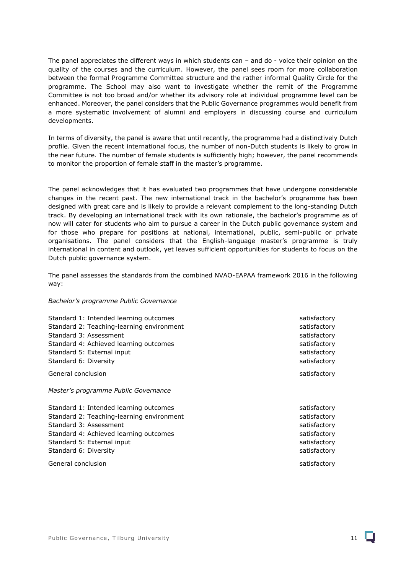The panel appreciates the different ways in which students can – and do - voice their opinion on the quality of the courses and the curriculum. However, the panel sees room for more collaboration between the formal Programme Committee structure and the rather informal Quality Circle for the programme. The School may also want to investigate whether the remit of the Programme Committee is not too broad and/or whether its advisory role at individual programme level can be enhanced. Moreover, the panel considers that the Public Governance programmes would benefit from a more systematic involvement of alumni and employers in discussing course and curriculum developments.

In terms of diversity, the panel is aware that until recently, the programme had a distinctively Dutch profile. Given the recent international focus, the number of non-Dutch students is likely to grow in the near future. The number of female students is sufficiently high; however, the panel recommends to monitor the proportion of female staff in the master's programme.

The panel acknowledges that it has evaluated two programmes that have undergone considerable changes in the recent past. The new international track in the bachelor's programme has been designed with great care and is likely to provide a relevant complement to the long-standing Dutch track. By developing an international track with its own rationale, the bachelor's programme as of now will cater for students who aim to pursue a career in the Dutch public governance system and for those who prepare for positions at national, international, public, semi-public or private organisations. The panel considers that the English-language master's programme is truly international in content and outlook, yet leaves sufficient opportunities for students to focus on the Dutch public governance system.

The panel assesses the standards from the combined NVAO-EAPAA framework 2016 in the following way:

#### *Bachelor's programme Public Governance*

| Standard 1: Intended learning outcomes<br>Standard 2: Teaching-learning environment<br>Standard 3: Assessment<br>Standard 4: Achieved learning outcomes<br>Standard 5: External input<br>Standard 6: Diversity | satisfactory<br>satisfactory<br>satisfactory<br>satisfactory<br>satisfactory<br>satisfactory |
|----------------------------------------------------------------------------------------------------------------------------------------------------------------------------------------------------------------|----------------------------------------------------------------------------------------------|
| General conclusion                                                                                                                                                                                             | satisfactory                                                                                 |
| Master's programme Public Governance                                                                                                                                                                           |                                                                                              |
| Standard 1: Intended learning outcomes<br>Standard 2: Teaching-learning environment<br>Standard 3: Assessment<br>Standard 4: Achieved learning outcomes<br>Standard 5: External input<br>Standard 6: Diversity | satisfactory<br>satisfactory<br>satisfactory<br>satisfactory<br>satisfactory<br>satisfactory |
| General conclusion                                                                                                                                                                                             | satisfactory                                                                                 |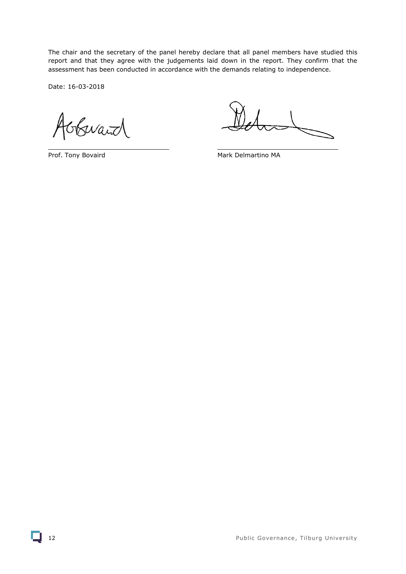The chair and the secretary of the panel hereby declare that all panel members have studied this report and that they agree with the judgements laid down in the report. They confirm that the assessment has been conducted in accordance with the demands relating to independence.

Date: 16-03-2018

Obward

Prof. Tony Bovaird **Mark Delmartino MA**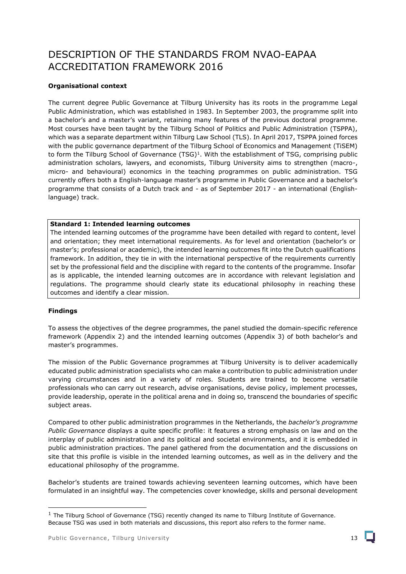## <span id="page-12-0"></span>DESCRIPTION OF THE STANDARDS FROM NVAO-EAPAA ACCREDITATION FRAMEWORK 2016

## **Organisational context**

The current degree Public Governance at Tilburg University has its roots in the programme Legal Public Administration, which was established in 1983. In September 2003, the programme split into a bachelor's and a master's variant, retaining many features of the previous doctoral programme. Most courses have been taught by the Tilburg School of Politics and Public Administration (TSPPA), which was a separate department within Tilburg Law School (TLS). In April 2017, TSPPA joined forces with the public governance department of the Tilburg School of Economics and Management (TiSEM) to form the Tilburg School of Governance (TSG)<sup>1</sup>. With the establishment of TSG, comprising public administration scholars, lawyers, and economists, Tilburg University aims to strengthen (macro-, micro- and behavioural) economics in the teaching programmes on public administration. TSG currently offers both a English-language master's programme in Public Governance and a bachelor's programme that consists of a Dutch track and - as of September 2017 - an international (Englishlanguage) track.

## **Standard 1: Intended learning outcomes**

The intended learning outcomes of the programme have been detailed with regard to content, level and orientation; they meet international requirements. As for level and orientation (bachelor's or master's; professional or academic), the intended learning outcomes fit into the Dutch qualifications framework. In addition, they tie in with the international perspective of the requirements currently set by the professional field and the discipline with regard to the contents of the programme. Insofar as is applicable, the intended learning outcomes are in accordance with relevant legislation and regulations. The programme should clearly state its educational philosophy in reaching these outcomes and identify a clear mission.

## **Findings**

-

To assess the objectives of the degree programmes, the panel studied the domain-specific reference framework (Appendix 2) and the intended learning outcomes (Appendix 3) of both bachelor's and master's programmes.

The mission of the Public Governance programmes at Tilburg University is to deliver academically educated public administration specialists who can make a contribution to public administration under varying circumstances and in a variety of roles. Students are trained to become versatile professionals who can carry out research, advise organisations, devise policy, implement processes, provide leadership, operate in the political arena and in doing so, transcend the boundaries of specific subject areas.

Compared to other public administration programmes in the Netherlands, the *bachelor's programme Public Governance* displays a quite specific profile: it features a strong emphasis on law and on the interplay of public administration and its political and societal environments, and it is embedded in public administration practices. The panel gathered from the documentation and the discussions on site that this profile is visible in the intended learning outcomes, as well as in the delivery and the educational philosophy of the programme.

Bachelor's students are trained towards achieving seventeen learning outcomes, which have been formulated in an insightful way. The competencies cover knowledge, skills and personal development

 $1$  The Tilburg School of Governance (TSG) recently changed its name to Tilburg Institute of Governance. Because TSG was used in both materials and discussions, this report also refers to the former name.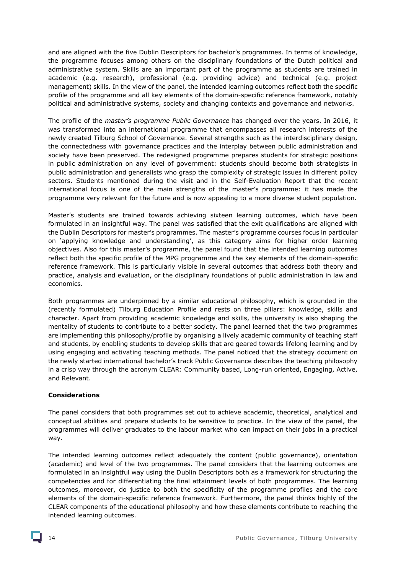and are aligned with the five Dublin Descriptors for bachelor's programmes. In terms of knowledge, the programme focuses among others on the disciplinary foundations of the Dutch political and administrative system. Skills are an important part of the programme as students are trained in academic (e.g. research), professional (e.g. providing advice) and technical (e.g. project management) skills. In the view of the panel, the intended learning outcomes reflect both the specific profile of the programme and all key elements of the domain-specific reference framework, notably political and administrative systems, society and changing contexts and governance and networks.

The profile of the *master's programme Public Governance* has changed over the years. In 2016, it was transformed into an international programme that encompasses all research interests of the newly created Tilburg School of Governance. Several strengths such as the interdisciplinary design, the connectedness with governance practices and the interplay between public administration and society have been preserved. The redesigned programme prepares students for strategic positions in public administration on any level of government: students should become both strategists in public administration and generalists who grasp the complexity of strategic issues in different policy sectors. Students mentioned during the visit and in the Self-Evaluation Report that the recent international focus is one of the main strengths of the master's programme: it has made the programme very relevant for the future and is now appealing to a more diverse student population.

Master's students are trained towards achieving sixteen learning outcomes, which have been formulated in an insightful way. The panel was satisfied that the exit qualifications are aligned with the Dublin Descriptors for master's programmes. The master's programme courses focus in particular on 'applying knowledge and understanding', as this category aims for higher order learning objectives. Also for this master's programme, the panel found that the intended learning outcomes reflect both the specific profile of the MPG programme and the key elements of the domain-specific reference framework. This is particularly visible in several outcomes that address both theory and practice, analysis and evaluation, or the disciplinary foundations of public administration in law and economics.

Both programmes are underpinned by a similar educational philosophy, which is grounded in the (recently formulated) Tilburg Education Profile and rests on three pillars: knowledge, skills and character. Apart from providing academic knowledge and skills, the university is also shaping the mentality of students to contribute to a better society. The panel learned that the two programmes are implementing this philosophy/profile by organising a lively academic community of teaching staff and students, by enabling students to develop skills that are geared towards lifelong learning and by using engaging and activating teaching methods. The panel noticed that the strategy document on the newly started international bachelor's track Public Governance describes the teaching philosophy in a crisp way through the acronym CLEAR: Community based, Long-run oriented, Engaging, Active, and Relevant.

## **Considerations**

The panel considers that both programmes set out to achieve academic, theoretical, analytical and conceptual abilities and prepare students to be sensitive to practice. In the view of the panel, the programmes will deliver graduates to the labour market who can impact on their jobs in a practical way.

The intended learning outcomes reflect adequately the content (public governance), orientation (academic) and level of the two programmes. The panel considers that the learning outcomes are formulated in an insightful way using the Dublin Descriptors both as a framework for structuring the competencies and for differentiating the final attainment levels of both programmes. The learning outcomes, moreover, do justice to both the specificity of the programme profiles and the core elements of the domain-specific reference framework. Furthermore, the panel thinks highly of the CLEAR components of the educational philosophy and how these elements contribute to reaching the intended learning outcomes.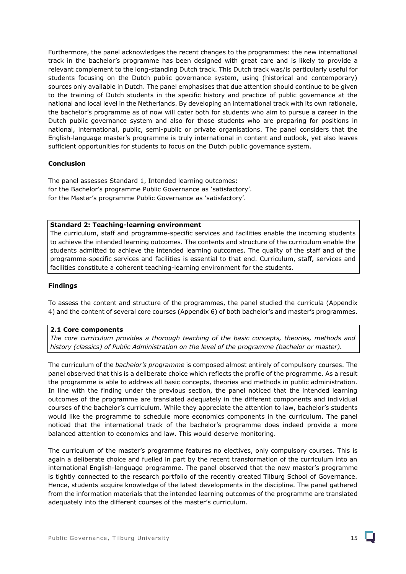Furthermore, the panel acknowledges the recent changes to the programmes: the new international track in the bachelor's programme has been designed with great care and is likely to provide a relevant complement to the long-standing Dutch track. This Dutch track was/is particularly useful for students focusing on the Dutch public governance system, using (historical and contemporary) sources only available in Dutch. The panel emphasises that due attention should continue to be given to the training of Dutch students in the specific history and practice of public governance at the national and local level in the Netherlands. By developing an international track with its own rationale, the bachelor's programme as of now will cater both for students who aim to pursue a career in the Dutch public governance system and also for those students who are preparing for positions in national, international, public, semi-public or private organisations. The panel considers that the English-language master's programme is truly international in content and outlook, yet also leaves sufficient opportunities for students to focus on the Dutch public governance system.

#### **Conclusion**

The panel assesses Standard 1, Intended learning outcomes: for the Bachelor's programme Public Governance as 'satisfactory'. for the Master's programme Public Governance as 'satisfactory'.

#### **Standard 2: Teaching-learning environment**

The curriculum, staff and programme-specific services and facilities enable the incoming students to achieve the intended learning outcomes. The contents and structure of the curriculum enable the students admitted to achieve the intended learning outcomes. The quality of the staff and of the programme-specific services and facilities is essential to that end. Curriculum, staff, services and facilities constitute a coherent teaching-learning environment for the students.

### **Findings**

To assess the content and structure of the programmes, the panel studied the curricula (Appendix 4) and the content of several core courses (Appendix 6) of both bachelor's and master's programmes.

#### **2.1 Core components**

*The core curriculum provides a thorough teaching of the basic concepts, theories, methods and history (classics) of Public Administration on the level of the programme (bachelor or master).*

The curriculum of the *bachelor's programme* is composed almost entirely of compulsory courses. The panel observed that this is a deliberate choice which reflects the profile of the programme. As a result the programme is able to address all basic concepts, theories and methods in public administration. In line with the finding under the previous section, the panel noticed that the intended learning outcomes of the programme are translated adequately in the different components and individual courses of the bachelor's curriculum. While they appreciate the attention to law, bachelor's students would like the programme to schedule more economics components in the curriculum. The panel noticed that the international track of the bachelor's programme does indeed provide a more balanced attention to economics and law. This would deserve monitoring.

The curriculum of the master's programme features no electives, only compulsory courses. This is again a deliberate choice and fuelled in part by the recent transformation of the curriculum into an international English-language programme. The panel observed that the new master's programme is tightly connected to the research portfolio of the recently created Tilburg School of Governance. Hence, students acquire knowledge of the latest developments in the discipline. The panel gathered from the information materials that the intended learning outcomes of the programme are translated adequately into the different courses of the master's curriculum.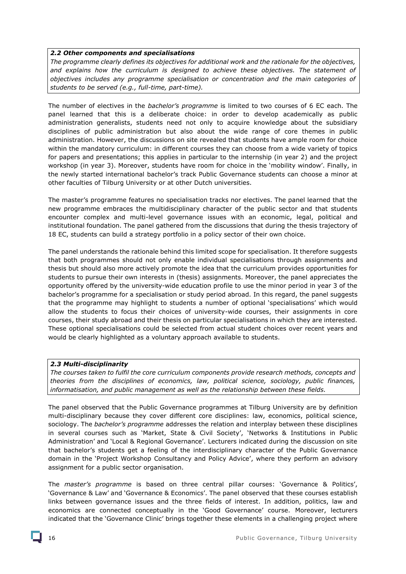### *2.2 Other components and specialisations*

*The programme clearly defines its objectives for additional work and the rationale for the objectives,*  and explains how the curriculum is designed to achieve these objectives. The statement of *objectives includes any programme specialisation or concentration and the main categories of students to be served (e.g., full-time, part-time).*

The number of electives in the *bachelor's programme* is limited to two courses of 6 EC each. The panel learned that this is a deliberate choice: in order to develop academically as public administration generalists, students need not only to acquire knowledge about the subsidiary disciplines of public administration but also about the wide range of core themes in public administration. However, the discussions on site revealed that students have ample room for choice within the mandatory curriculum: in different courses they can choose from a wide variety of topics for papers and presentations; this applies in particular to the internship (in year 2) and the project workshop (in year 3). Moreover, students have room for choice in the 'mobility window'. Finally, in the newly started international bachelor's track Public Governance students can choose a minor at other faculties of Tilburg University or at other Dutch universities.

The master's programme features no specialisation tracks nor electives. The panel learned that the new programme embraces the multidisciplinary character of the public sector and that students encounter complex and multi-level governance issues with an economic, legal, political and institutional foundation. The panel gathered from the discussions that during the thesis trajectory of 18 EC, students can build a strategy portfolio in a policy sector of their own choice.

The panel understands the rationale behind this limited scope for specialisation. It therefore suggests that both programmes should not only enable individual specialisations through assignments and thesis but should also more actively promote the idea that the curriculum provides opportunities for students to pursue their own interests in (thesis) assignments. Moreover, the panel appreciates the opportunity offered by the university-wide education profile to use the minor period in year 3 of the bachelor's programme for a specialisation or study period abroad. In this regard, the panel suggests that the programme may highlight to students a number of optional 'specialisations' which would allow the students to focus their choices of university-wide courses, their assignments in core courses, their study abroad and their thesis on particular specialisations in which they are interested. These optional specialisations could be selected from actual student choices over recent years and would be clearly highlighted as a voluntary approach available to students.

## *2.3 Multi-disciplinarity*

*The courses taken to fulfil the core curriculum components provide research methods, concepts and theories from the disciplines of economics, law, political science, sociology, public finances, informatisation, and public management as well as the relationship between these fields.*

The panel observed that the Public Governance programmes at Tilburg University are by definition multi-disciplinary because they cover different core disciplines: law, economics, political science, sociology. The *bachelor's programme* addresses the relation and interplay between these disciplines in several courses such as 'Market, State & Civil Society', 'Networks & Institutions in Public Administration' and 'Local & Regional Governance'. Lecturers indicated during the discussion on site that bachelor's students get a feeling of the interdisciplinary character of the Public Governance domain in the 'Project Workshop Consultancy and Policy Advice', where they perform an advisory assignment for a public sector organisation.

The *master's programme* is based on three central pillar courses: 'Governance & Politics', 'Governance & Law' and 'Governance & Economics'. The panel observed that these courses establish links between governance issues and the three fields of interest. In addition, politics, law and economics are connected conceptually in the 'Good Governance' course. Moreover, lecturers indicated that the 'Governance Clinic' brings together these elements in a challenging project where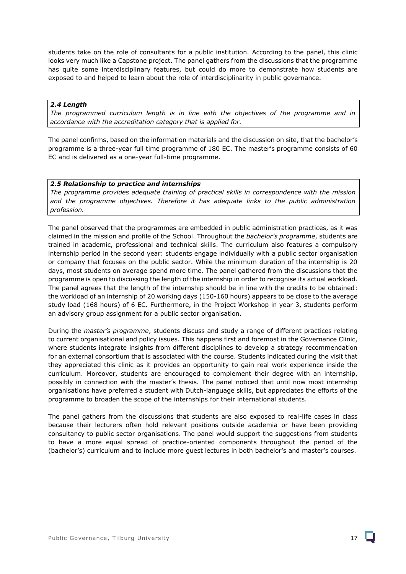students take on the role of consultants for a public institution. According to the panel, this clinic looks very much like a Capstone project. The panel gathers from the discussions that the programme has quite some interdisciplinary features, but could do more to demonstrate how students are exposed to and helped to learn about the role of interdisciplinarity in public governance.

#### *2.4 Length*

*The programmed curriculum length is in line with the objectives of the programme and in accordance with the accreditation category that is applied for.*

The panel confirms, based on the information materials and the discussion on site, that the bachelor's programme is a three-year full time programme of 180 EC. The master's programme consists of 60 EC and is delivered as a one-year full-time programme.

## *2.5 Relationship to practice and internships*

*The programme provides adequate training of practical skills in correspondence with the mission*  and the programme objectives. Therefore it has adequate links to the public administration *profession.*

The panel observed that the programmes are embedded in public administration practices, as it was claimed in the mission and profile of the School. Throughout the *bachelor's programme*, students are trained in academic, professional and technical skills. The curriculum also features a compulsory internship period in the second year: students engage individually with a public sector organisation or company that focuses on the public sector. While the minimum duration of the internship is 20 days, most students on average spend more time. The panel gathered from the discussions that the programme is open to discussing the length of the internship in order to recognise its actual workload. The panel agrees that the length of the internship should be in line with the credits to be obtained: the workload of an internship of 20 working days (150-160 hours) appears to be close to the average study load (168 hours) of 6 EC. Furthermore, in the Project Workshop in year 3, students perform an advisory group assignment for a public sector organisation.

During the *master's programme*, students discuss and study a range of different practices relating to current organisational and policy issues. This happens first and foremost in the Governance Clinic, where students integrate insights from different disciplines to develop a strategy recommendation for an external consortium that is associated with the course. Students indicated during the visit that they appreciated this clinic as it provides an opportunity to gain real work experience inside the curriculum. Moreover, students are encouraged to complement their degree with an internship, possibly in connection with the master's thesis. The panel noticed that until now most internship organisations have preferred a student with Dutch-language skills, but appreciates the efforts of the programme to broaden the scope of the internships for their international students.

The panel gathers from the discussions that students are also exposed to real-life cases in class because their lecturers often hold relevant positions outside academia or have been providing consultancy to public sector organisations. The panel would support the suggestions from students to have a more equal spread of practice-oriented components throughout the period of the (bachelor's) curriculum and to include more guest lectures in both bachelor's and master's courses.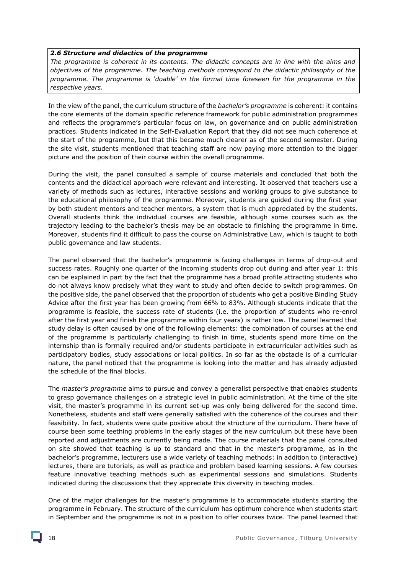### *2.6 Structure and didactics of the programme*

*The programme is coherent in its contents. The didactic concepts are in line with the aims and objectives of the programme. The teaching methods correspond to the didactic philosophy of the programme. The programme is 'doable' in the formal time foreseen for the programme in the respective years.*

In the view of the panel, the curriculum structure of the *bachelor's programme* is coherent: it contains the core elements of the domain specific reference framework for public administration programmes and reflects the programme's particular focus on law, on governance and on public administration practices. Students indicated in the Self-Evaluation Report that they did not see much coherence at the start of the programme, but that this became much clearer as of the second semester. During the site visit, students mentioned that teaching staff are now paying more attention to the bigger picture and the position of their course within the overall programme.

During the visit, the panel consulted a sample of course materials and concluded that both the contents and the didactical approach were relevant and interesting. It observed that teachers use a variety of methods such as lectures, interactive sessions and working groups to give substance to the educational philosophy of the programme. Moreover, students are guided during the first year by both student mentors and teacher mentors, a system that is much appreciated by the students. Overall students think the individual courses are feasible, although some courses such as the trajectory leading to the bachelor's thesis may be an obstacle to finishing the programme in time. Moreover, students find it difficult to pass the course on Administrative Law, which is taught to both public governance and law students.

The panel observed that the bachelor's programme is facing challenges in terms of drop-out and success rates. Roughly one quarter of the incoming students drop out during and after year 1: this can be explained in part by the fact that the programme has a broad profile attracting students who do not always know precisely what they want to study and often decide to switch programmes. On the positive side, the panel observed that the proportion of students who get a positive Binding Study Advice after the first year has been growing from 66% to 83%. Although students indicate that the programme is feasible, the success rate of students (i.e. the proportion of students who re-enrol after the first year and finish the programme within four years) is rather low. The panel learned that study delay is often caused by one of the following elements: the combination of courses at the end of the programme is particularly challenging to finish in time, students spend more time on the internship than is formally required and/or students participate in extracurricular activities such as participatory bodies, study associations or local politics. In so far as the obstacle is of a curricular nature, the panel noticed that the programme is looking into the matter and has already adjusted the schedule of the final blocks.

The *master's programme* aims to pursue and convey a generalist perspective that enables students to grasp governance challenges on a strategic level in public administration. At the time of the site visit, the master's programme in its current set-up was only being delivered for the second time. Nonetheless, students and staff were generally satisfied with the coherence of the courses and their feasibility. In fact, students were quite positive about the structure of the curriculum. There have of course been some teething problems in the early stages of the new curriculum but these have been reported and adjustments are currently being made. The course materials that the panel consulted on site showed that teaching is up to standard and that in the master's programme, as in the bachelor's programme, lecturers use a wide variety of teaching methods: in addition to (interactive) lectures, there are tutorials, as well as practice and problem based learning sessions. A few courses feature innovative teaching methods such as experimental sessions and simulations. Students indicated during the discussions that they appreciate this diversity in teaching modes.

One of the major challenges for the master's programme is to accommodate students starting the programme in February. The structure of the curriculum has optimum coherence when students start in September and the programme is not in a position to offer courses twice. The panel learned that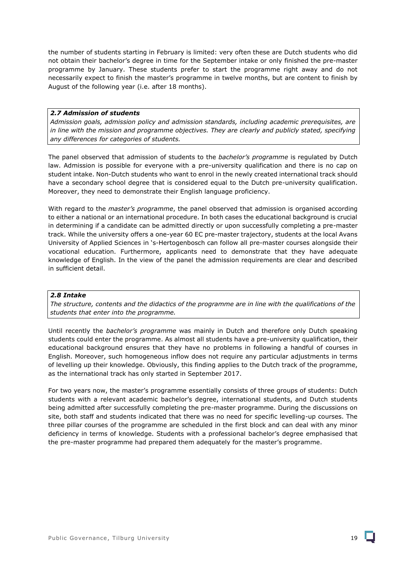the number of students starting in February is limited: very often these are Dutch students who did not obtain their bachelor's degree in time for the September intake or only finished the pre-master programme by January. These students prefer to start the programme right away and do not necessarily expect to finish the master's programme in twelve months, but are content to finish by August of the following year (i.e. after 18 months).

### *2.7 Admission of students*

*Admission goals, admission policy and admission standards, including academic prerequisites, are in line with the mission and programme objectives. They are clearly and publicly stated, specifying any differences for categories of students.*

The panel observed that admission of students to the *bachelor's programme* is regulated by Dutch law. Admission is possible for everyone with a pre-university qualification and there is no cap on student intake. Non-Dutch students who want to enrol in the newly created international track should have a secondary school degree that is considered equal to the Dutch pre-university qualification. Moreover, they need to demonstrate their English language proficiency.

With regard to the *master's programme*, the panel observed that admission is organised according to either a national or an international procedure. In both cases the educational background is crucial in determining if a candidate can be admitted directly or upon successfully completing a pre-master track. While the university offers a one-year 60 EC pre-master trajectory, students at the local Avans University of Applied Sciences in 's-Hertogenbosch can follow all pre-master courses alongside their vocational education. Furthermore, applicants need to demonstrate that they have adequate knowledge of English. In the view of the panel the admission requirements are clear and described in sufficient detail.

## *2.8 Intake*

*The structure, contents and the didactics of the programme are in line with the qualifications of the students that enter into the programme.*

Until recently the *bachelor's programme* was mainly in Dutch and therefore only Dutch speaking students could enter the programme. As almost all students have a pre-university qualification, their educational background ensures that they have no problems in following a handful of courses in English. Moreover, such homogeneous inflow does not require any particular adjustments in terms of levelling up their knowledge. Obviously, this finding applies to the Dutch track of the programme, as the international track has only started in September 2017.

For two years now, the master's programme essentially consists of three groups of students: Dutch students with a relevant academic bachelor's degree, international students, and Dutch students being admitted after successfully completing the pre-master programme. During the discussions on site, both staff and students indicated that there was no need for specific levelling-up courses. The three pillar courses of the programme are scheduled in the first block and can deal with any minor deficiency in terms of knowledge. Students with a professional bachelor's degree emphasised that the pre-master programme had prepared them adequately for the master's programme.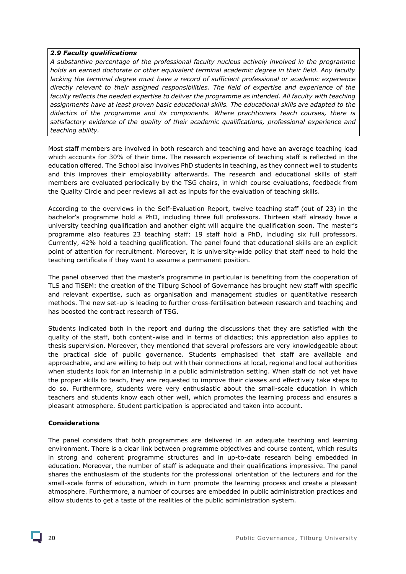## *2.9 Faculty qualifications*

*A substantive percentage of the professional faculty nucleus actively involved in the programme holds an earned doctorate or other equivalent terminal academic degree in their field. Any faculty lacking the terminal degree must have a record of sufficient professional or academic experience directly relevant to their assigned responsibilities. The field of expertise and experience of the*  faculty reflects the needed expertise to deliver the programme as intended. All faculty with teaching *assignments have at least proven basic educational skills. The educational skills are adapted to the didactics of the programme and its components. Where practitioners teach courses, there is satisfactory evidence of the quality of their academic qualifications, professional experience and teaching ability.*

Most staff members are involved in both research and teaching and have an average teaching load which accounts for 30% of their time. The research experience of teaching staff is reflected in the education offered. The School also involves PhD students in teaching, as they connect well to students and this improves their employability afterwards. The research and educational skills of staff members are evaluated periodically by the TSG chairs, in which course evaluations, feedback from the Quality Circle and peer reviews all act as inputs for the evaluation of teaching skills.

According to the overviews in the Self-Evaluation Report, twelve teaching staff (out of 23) in the bachelor's programme hold a PhD, including three full professors. Thirteen staff already have a university teaching qualification and another eight will acquire the qualification soon. The master's programme also features 23 teaching staff: 19 staff hold a PhD, including six full professors. Currently, 42% hold a teaching qualification. The panel found that educational skills are an explicit point of attention for recruitment. Moreover, it is university-wide policy that staff need to hold the teaching certificate if they want to assume a permanent position.

The panel observed that the master's programme in particular is benefiting from the cooperation of TLS and TiSEM: the creation of the Tilburg School of Governance has brought new staff with specific and relevant expertise, such as organisation and management studies or quantitative research methods. The new set-up is leading to further cross-fertilisation between research and teaching and has boosted the contract research of TSG.

Students indicated both in the report and during the discussions that they are satisfied with the quality of the staff, both content-wise and in terms of didactics; this appreciation also applies to thesis supervision. Moreover, they mentioned that several professors are very knowledgeable about the practical side of public governance. Students emphasised that staff are available and approachable, and are willing to help out with their connections at local, regional and local authorities when students look for an internship in a public administration setting. When staff do not yet have the proper skills to teach, they are requested to improve their classes and effectively take steps to do so. Furthermore, students were very enthusiastic about the small-scale education in which teachers and students know each other well, which promotes the learning process and ensures a pleasant atmosphere. Student participation is appreciated and taken into account.

### **Considerations**

The panel considers that both programmes are delivered in an adequate teaching and learning environment. There is a clear link between programme objectives and course content, which results in strong and coherent programme structures and in up-to-date research being embedded in education. Moreover, the number of staff is adequate and their qualifications impressive. The panel shares the enthusiasm of the students for the professional orientation of the lecturers and for the small-scale forms of education, which in turn promote the learning process and create a pleasant atmosphere. Furthermore, a number of courses are embedded in public administration practices and allow students to get a taste of the realities of the public administration system.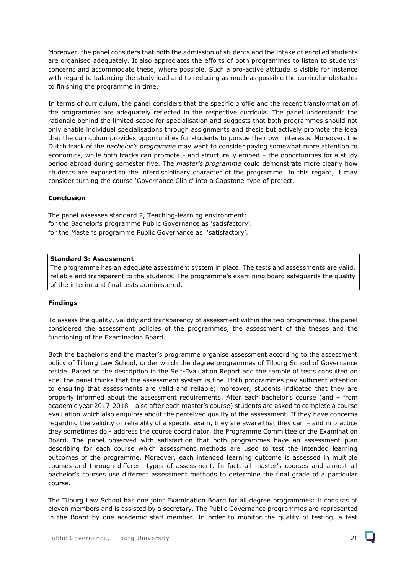Moreover, the panel considers that both the admission of students and the intake of enrolled students are organised adequately. It also appreciates the efforts of both programmes to listen to students' concerns and accommodate these, where possible. Such a pro-active attitude is visible for instance with regard to balancing the study load and to reducing as much as possible the curricular obstacles to finishing the programme in time.

In terms of curriculum, the panel considers that the specific profile and the recent transformation of the programmes are adequately reflected in the respective curricula. The panel understands the rationale behind the limited scope for specialisation and suggests that both programmes should not only enable individual specialisations through assignments and thesis but actively promote the idea that the curriculum provides opportunities for students to pursue their own interests. Moreover, the Dutch track of the *bachelor's programme* may want to consider paying somewhat more attention to economics, while both tracks can promote - and structurally embed – the opportunities for a study period abroad during semester five. The *master's programme* could demonstrate more clearly how students are exposed to the interdisciplinary character of the programme. In this regard, it may consider turning the course 'Governance Clinic' into a Capstone-type of project.

## **Conclusion**

The panel assesses standard 2, Teaching-learning environment: for the Bachelor's programme Public Governance as 'satisfactory'. for the Master's programme Public Governance as 'satisfactory'.

### **Standard 3: Assessment**

The programme has an adequate assessment system in place. The tests and assessments are valid, reliable and transparent to the students. The programme's examining board safeguards the quality of the interim and final tests administered.

### **Findings**

To assess the quality, validity and transparency of assessment within the two programmes, the panel considered the assessment policies of the programmes, the assessment of the theses and the functioning of the Examination Board.

Both the bachelor's and the master's programme organise assessment according to the assessment policy of Tilburg Law School, under which the degree programmes of Tilburg School of Governance reside. Based on the description in the Self-Evaluation Report and the sample of tests consulted on site, the panel thinks that the assessment system is fine. Both programmes pay sufficient attention to ensuring that assessments are valid and reliable; moreover, students indicated that they are properly informed about the assessment requirements. After each bachelor's course (and – from academic year 2017-2018 – also after each master's course) students are asked to complete a course evaluation which also enquires about the perceived quality of the assessment. If they have concerns regarding the validity or reliability of a specific exam, they are aware that they can – and in practice they sometimes do - address the course coordinator, the Programme Committee or the Examination Board. The panel observed with satisfaction that both programmes have an assessment plan describing for each course which assessment methods are used to test the intended learning outcomes of the programme. Moreover, each intended learning outcome is assessed in multiple courses and through different types of assessment. In fact, all master's courses and almost all bachelor's courses use different assessment methods to determine the final grade of a particular course.

The Tilburg Law School has one joint Examination Board for all degree programmes: it consists of eleven members and is assisted by a secretary. The Public Governance programmes are represented in the Board by one academic staff member. In order to monitor the quality of testing, a test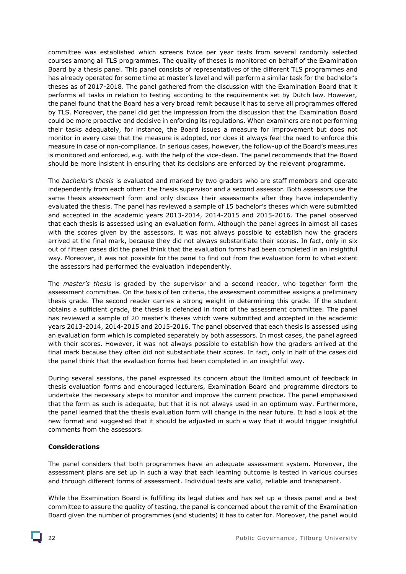committee was established which screens twice per year tests from several randomly selected courses among all TLS programmes. The quality of theses is monitored on behalf of the Examination Board by a thesis panel. This panel consists of representatives of the different TLS programmes and has already operated for some time at master's level and will perform a similar task for the bachelor's theses as of 2017-2018. The panel gathered from the discussion with the Examination Board that it performs all tasks in relation to testing according to the requirements set by Dutch law. However, the panel found that the Board has a very broad remit because it has to serve all programmes offered by TLS. Moreover, the panel did get the impression from the discussion that the Examination Board could be more proactive and decisive in enforcing its regulations. When examiners are not performing their tasks adequately, for instance, the Board issues a measure for improvement but does not monitor in every case that the measure is adopted, nor does it always feel the need to enforce this measure in case of non-compliance. In serious cases, however, the follow-up of the Board's measures is monitored and enforced, e.g. with the help of the vice-dean. The panel recommends that the Board should be more insistent in ensuring that its decisions are enforced by the relevant programme.

The *bachelor's thesis* is evaluated and marked by two graders who are staff members and operate independently from each other: the thesis supervisor and a second assessor. Both assessors use the same thesis assessment form and only discuss their assessments after they have independently evaluated the thesis. The panel has reviewed a sample of 15 bachelor's theses which were submitted and accepted in the academic years 2013-2014, 2014-2015 and 2015-2016. The panel observed that each thesis is assessed using an evaluation form. Although the panel agrees in almost all cases with the scores given by the assessors, it was not always possible to establish how the graders arrived at the final mark, because they did not always substantiate their scores. In fact, only in six out of fifteen cases did the panel think that the evaluation forms had been completed in an insightful way. Moreover, it was not possible for the panel to find out from the evaluation form to what extent the assessors had performed the evaluation independently.

The *master's thesis* is graded by the supervisor and a second reader, who together form the assessment committee. On the basis of ten criteria, the assessment committee assigns a preliminary thesis grade. The second reader carries a strong weight in determining this grade. If the student obtains a sufficient grade, the thesis is defended in front of the assessment committee. The panel has reviewed a sample of 20 master's theses which were submitted and accepted in the academic years 2013-2014, 2014-2015 and 2015-2016. The panel observed that each thesis is assessed using an evaluation form which is completed separately by both assessors. In most cases, the panel agreed with their scores. However, it was not always possible to establish how the graders arrived at the final mark because they often did not substantiate their scores. In fact, only in half of the cases did the panel think that the evaluation forms had been completed in an insightful way.

During several sessions, the panel expressed its concern about the limited amount of feedback in thesis evaluation forms and encouraged lecturers, Examination Board and programme directors to undertake the necessary steps to monitor and improve the current practice. The panel emphasised that the form as such is adequate, but that it is not always used in an optimum way. Furthermore, the panel learned that the thesis evaluation form will change in the near future. It had a look at the new format and suggested that it should be adjusted in such a way that it would trigger insightful comments from the assessors.

### **Considerations**

The panel considers that both programmes have an adequate assessment system. Moreover, the assessment plans are set up in such a way that each learning outcome is tested in various courses and through different forms of assessment. Individual tests are valid, reliable and transparent.

While the Examination Board is fulfilling its legal duties and has set up a thesis panel and a test committee to assure the quality of testing, the panel is concerned about the remit of the Examination Board given the number of programmes (and students) it has to cater for. Moreover, the panel would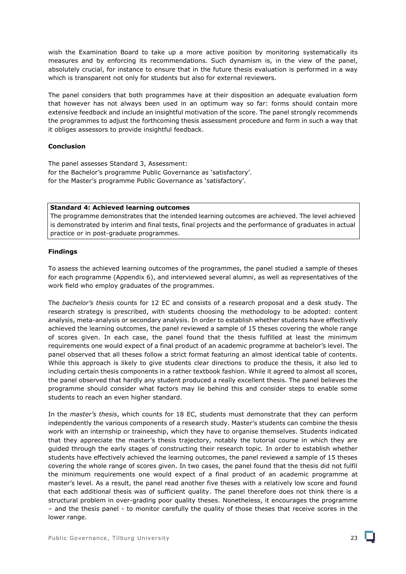wish the Examination Board to take up a more active position by monitoring systematically its measures and by enforcing its recommendations. Such dynamism is, in the view of the panel, absolutely crucial, for instance to ensure that in the future thesis evaluation is performed in a way which is transparent not only for students but also for external reviewers.

The panel considers that both programmes have at their disposition an adequate evaluation form that however has not always been used in an optimum way so far: forms should contain more extensive feedback and include an insightful motivation of the score. The panel strongly recommends the programmes to adjust the forthcoming thesis assessment procedure and form in such a way that it obliges assessors to provide insightful feedback.

## **Conclusion**

The panel assesses Standard 3, Assessment: for the Bachelor's programme Public Governance as 'satisfactory'. for the Master's programme Public Governance as 'satisfactory'.

## **Standard 4: Achieved learning outcomes**

The programme demonstrates that the intended learning outcomes are achieved. The level achieved is demonstrated by interim and final tests, final projects and the performance of graduates in actual practice or in post-graduate programmes.

## **Findings**

To assess the achieved learning outcomes of the programmes, the panel studied a sample of theses for each programme (Appendix 6), and interviewed several alumni, as well as representatives of the work field who employ graduates of the programmes.

The *bachelor's thesis* counts for 12 EC and consists of a research proposal and a desk study. The research strategy is prescribed, with students choosing the methodology to be adopted: content analysis, meta-analysis or secondary analysis. In order to establish whether students have effectively achieved the learning outcomes, the panel reviewed a sample of 15 theses covering the whole range of scores given. In each case, the panel found that the thesis fulfilled at least the minimum requirements one would expect of a final product of an academic programme at bachelor's level. The panel observed that all theses follow a strict format featuring an almost identical table of contents. While this approach is likely to give students clear directions to produce the thesis, it also led to including certain thesis components in a rather textbook fashion. While it agreed to almost all scores, the panel observed that hardly any student produced a really excellent thesis. The panel believes the programme should consider what factors may lie behind this and consider steps to enable some students to reach an even higher standard.

In the *master's thesis*, which counts for 18 EC, students must demonstrate that they can perform independently the various components of a research study. Master's students can combine the thesis work with an internship or traineeship, which they have to organise themselves. Students indicated that they appreciate the master's thesis trajectory, notably the tutorial course in which they are guided through the early stages of constructing their research topic. In order to establish whether students have effectively achieved the learning outcomes, the panel reviewed a sample of 15 theses covering the whole range of scores given. In two cases, the panel found that the thesis did not fulfil the minimum requirements one would expect of a final product of an academic programme at master's level. As a result, the panel read another five theses with a relatively low score and found that each additional thesis was of sufficient quality. The panel therefore does not think there is a structural problem in over-grading poor quality theses. Nonetheless, it encourages the programme – and the thesis panel - to monitor carefully the quality of those theses that receive scores in the lower range.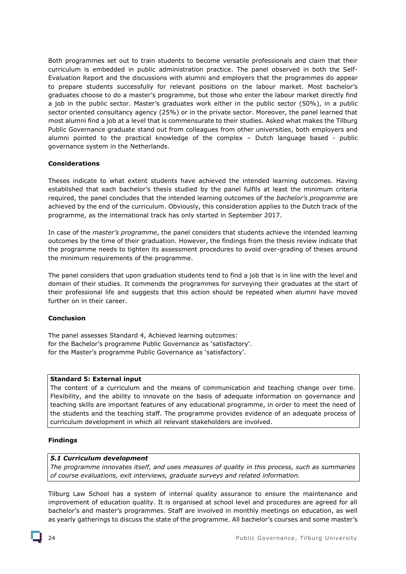Both programmes set out to train students to become versatile professionals and claim that their curriculum is embedded in public administration practice. The panel observed in both the Self-Evaluation Report and the discussions with alumni and employers that the programmes do appear to prepare students successfully for relevant positions on the labour market. Most bachelor's graduates choose to do a master's programme, but those who enter the labour market directly find a job in the public sector. Master's graduates work either in the public sector (50%), in a public sector oriented consultancy agency (25%) or in the private sector. Moreover, the panel learned that most alumni find a job at a level that is commensurate to their studies. Asked what makes the Tilburg Public Governance graduate stand out from colleagues from other universities, both employers and alumni pointed to the practical knowledge of the complex – Dutch language based - public governance system in the Netherlands.

### **Considerations**

Theses indicate to what extent students have achieved the intended learning outcomes. Having established that each bachelor's thesis studied by the panel fulfils at least the minimum criteria required, the panel concludes that the intended learning outcomes of the *bachelor's programme* are achieved by the end of the curriculum. Obviously, this consideration applies to the Dutch track of the programme, as the international track has only started in September 2017.

In case of the *master's programme*, the panel considers that students achieve the intended learning outcomes by the time of their graduation. However, the findings from the thesis review indicate that the programme needs to tighten its assessment procedures to avoid over-grading of theses around the minimum requirements of the programme.

The panel considers that upon graduation students tend to find a job that is in line with the level and domain of their studies. It commends the programmes for surveying their graduates at the start of their professional life and suggests that this action should be repeated when alumni have moved further on in their career.

### **Conclusion**

The panel assesses Standard 4, Achieved learning outcomes: for the Bachelor's programme Public Governance as 'satisfactory'. for the Master's programme Public Governance as 'satisfactory'.

### **Standard 5: External input**

The content of a curriculum and the means of communication and teaching change over time. Flexibility, and the ability to innovate on the basis of adequate information on governance and teaching skills are important features of any educational programme, in order to meet the need of the students and the teaching staff. The programme provides evidence of an adequate process of curriculum development in which all relevant stakeholders are involved.

#### **Findings**

### *5.1 Curriculum development*

*The programme innovates itself, and uses measures of quality in this process, such as summaries of course evaluations, exit interviews, graduate surveys and related information.*

Tilburg Law School has a system of internal quality assurance to ensure the maintenance and improvement of education quality. It is organised at school level and procedures are agreed for all bachelor's and master's programmes. Staff are involved in monthly meetings on education, as well as yearly gatherings to discuss the state of the programme. All bachelor's courses and some master's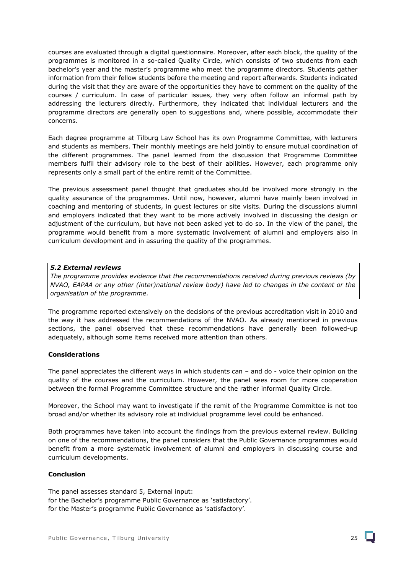courses are evaluated through a digital questionnaire. Moreover, after each block, the quality of the programmes is monitored in a so-called Quality Circle, which consists of two students from each bachelor's year and the master's programme who meet the programme directors. Students gather information from their fellow students before the meeting and report afterwards. Students indicated during the visit that they are aware of the opportunities they have to comment on the quality of the courses / curriculum. In case of particular issues, they very often follow an informal path by addressing the lecturers directly. Furthermore, they indicated that individual lecturers and the programme directors are generally open to suggestions and, where possible, accommodate their concerns.

Each degree programme at Tilburg Law School has its own Programme Committee, with lecturers and students as members. Their monthly meetings are held jointly to ensure mutual coordination of the different programmes. The panel learned from the discussion that Programme Committee members fulfil their advisory role to the best of their abilities. However, each programme only represents only a small part of the entire remit of the Committee.

The previous assessment panel thought that graduates should be involved more strongly in the quality assurance of the programmes. Until now, however, alumni have mainly been involved in coaching and mentoring of students, in guest lectures or site visits. During the discussions alumni and employers indicated that they want to be more actively involved in discussing the design or adjustment of the curriculum, but have not been asked yet to do so. In the view of the panel, the programme would benefit from a more systematic involvement of alumni and employers also in curriculum development and in assuring the quality of the programmes.

## *5.2 External reviews*

*The programme provides evidence that the recommendations received during previous reviews (by NVAO, EAPAA or any other (inter)national review body) have led to changes in the content or the organisation of the programme.*

The programme reported extensively on the decisions of the previous accreditation visit in 2010 and the way it has addressed the recommendations of the NVAO. As already mentioned in previous sections, the panel observed that these recommendations have generally been followed-up adequately, although some items received more attention than others.

## **Considerations**

The panel appreciates the different ways in which students can – and do - voice their opinion on the quality of the courses and the curriculum. However, the panel sees room for more cooperation between the formal Programme Committee structure and the rather informal Quality Circle.

Moreover, the School may want to investigate if the remit of the Programme Committee is not too broad and/or whether its advisory role at individual programme level could be enhanced.

Both programmes have taken into account the findings from the previous external review. Building on one of the recommendations, the panel considers that the Public Governance programmes would benefit from a more systematic involvement of alumni and employers in discussing course and curriculum developments.

### **Conclusion**

The panel assesses standard 5, External input: for the Bachelor's programme Public Governance as 'satisfactory'. for the Master's programme Public Governance as 'satisfactory'.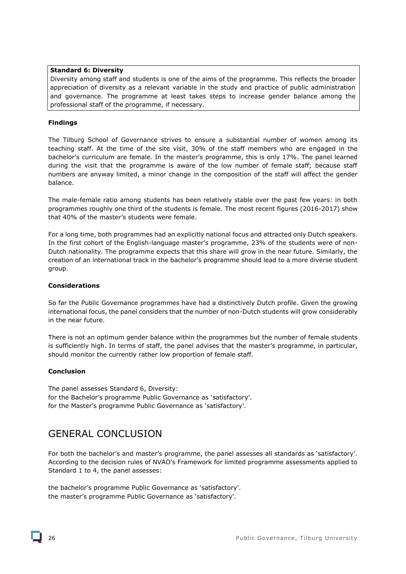## **Standard 6: Diversity**

Diversity among staff and students is one of the aims of the programme. This reflects the broader appreciation of diversity as a relevant variable in the study and practice of public administration and governance. The programme at least takes steps to increase gender balance among the professional staff of the programme, if necessary.

## **Findings**

The Tilburg School of Governance strives to ensure a substantial number of women among its teaching staff. At the time of the site visit, 30% of the staff members who are engaged in the bachelor's curriculum are female. In the master's programme, this is only 17%. The panel learned during the visit that the programme is aware of the low number of female staff; because staff numbers are anyway limited, a minor change in the composition of the staff will affect the gender balance.

The male-female ratio among students has been relatively stable over the past few years: in both programmes roughly one third of the students is female. The most recent figures (2016-2017) show that 40% of the master's students were female.

For a long time, both programmes had an explicitly national focus and attracted only Dutch speakers. In the first cohort of the English-language master's programme, 23% of the students were of non-Dutch nationality. The programme expects that this share will grow in the near future. Similarly, the creation of an international track in the bachelor's programme should lead to a more diverse student group.

### **Considerations**

So far the Public Governance programmes have had a distinctively Dutch profile. Given the growing international focus, the panel considers that the number of non-Dutch students will grow considerably in the near future.

There is not an optimum gender balance within the programmes but the number of female students is sufficiently high. In terms of staff, the panel advises that the master's programme, in particular, should monitor the currently rather low proportion of female staff.

### **Conclusion**

The panel assesses Standard 6, Diversity: for the Bachelor's programme Public Governance as 'satisfactory'. for the Master's programme Public Governance as 'satisfactory'.

## GENERAL CONCLUSION

For both the bachelor's and master's programme, the panel assesses all standards as 'satisfactory'. According to the decision rules of NVAO's Framework for limited programme assessments applied to Standard 1 to 4, the panel assesses:

the bachelor's programme Public Governance as 'satisfactory'. the master's programme Public Governance as 'satisfactory'.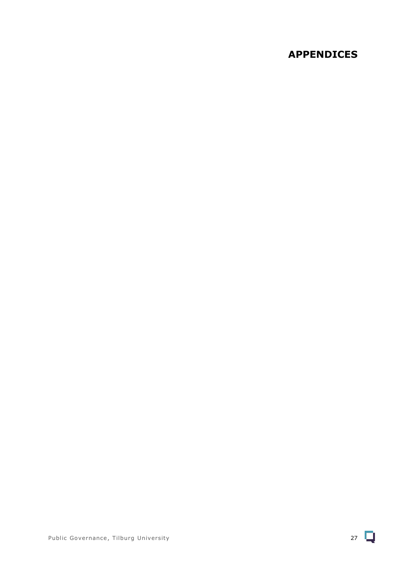## <span id="page-26-0"></span>**APPENDICES**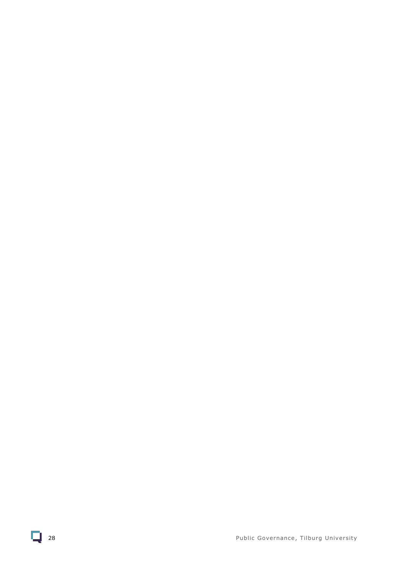28 Public Governance, Tilburg University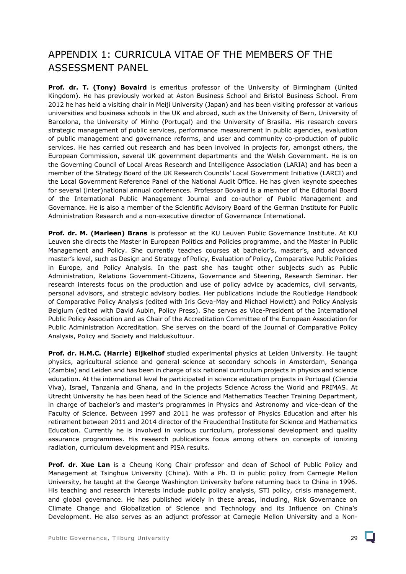## <span id="page-28-0"></span>APPENDIX 1: CURRICULA VITAE OF THE MEMBERS OF THE ASSESSMENT PANEL

**Prof. dr. T. (Tony) Bovaird** is emeritus professor of the University of Birmingham (United Kingdom). He has previously worked at Aston Business School and Bristol Business School. From 2012 he has held a visiting chair in Meiji University (Japan) and has been visiting professor at various universities and business schools in the UK and abroad, such as the University of Bern, University of Barcelona, the University of Minho (Portugal) and the University of Brasilia. His research covers strategic management of public services, performance measurement in public agencies, evaluation of public management and governance reforms, and user and community co-production of public services. He has carried out research and has been involved in projects for, amongst others, the European Commission, several UK government departments and the Welsh Government. He is on the Governing Council of Local Areas Research and Intelligence Association (LARIA) and has been a member of the Strategy Board of the UK Research Councils' Local Government Initiative (LARCI) and the Local Government Reference Panel of the National Audit Office. He has given keynote speeches for several (inter)national annual conferences. Professor Bovaird is a member of the Editorial Board of the International Public Management Journal and co-author of Public Management and Governance. He is also a member of the Scientific Advisory Board of the German Institute for Public Administration Research and a non-executive director of Governance International.

**Prof. dr. M. (Marleen) Brans** is professor at the KU Leuven Public Governance Institute. At KU Leuven she directs the Master in European Politics and Policies programme, and the Master in Public Management and Policy. She currently teaches courses at bachelor's, master's, and advanced master's level, such as Design and Strategy of Policy, Evaluation of Policy, Comparative Public Policies in Europe, and Policy Analysis. In the past she has taught other subjects such as Public Administration, Relations Government-Citizens, Governance and Steering, Research Seminar. Her research interests focus on the production and use of policy advice by academics, civil servants, personal advisors, and strategic advisory bodies. Her publications include the Routledge Handbook of Comparative Policy Analysis (edited with Iris Geva-May and Michael Howlett) and Policy Analysis Belgium (edited with David Aubin, Policy Press). She serves as Vice-President of the International Public Policy Association and as Chair of the Accreditation Committee of the European Association for Public Administration Accreditation. She serves on the board of the Journal of Comparative Policy Analysis, Policy and Society and Halduskultuur.

**Prof. dr. H.M.C. (Harrie) Eijkelhof** studied experimental physics at Leiden University. He taught physics, agricultural science and general science at secondary schools in Amsterdam, Senanga (Zambia) and Leiden and has been in charge of six national curriculum projects in physics and science education. At the international level he participated in science education projects in Portugal (Ciencia Viva), Israel, Tanzania and Ghana, and in the projects Science Across the World and PRIMAS. At Utrecht University he has been head of the Science and Mathematics Teacher Training Department, in charge of bachelor's and master's programmes in Physics and Astronomy and vice-dean of the Faculty of Science. Between 1997 and 2011 he was professor of Physics Education and after his retirement between 2011 and 2014 director of the Freudenthal Institute for Science and Mathematics Education. Currently he is involved in various curriculum, professional development and quality assurance programmes. His research publications focus among others on concepts of ionizing radiation, curriculum development and PISA results.

**Prof. dr. Xue Lan** is a Cheung Kong Chair professor and dean of School of Public Policy and Management at Tsinghua University (China). With a Ph. D in public policy from Carnegie Mellon University, he taught at the George Washington University before returning back to China in 1996. His teaching and research interests include public policy analysis, STI policy, crisis management, and global governance. He has published widely in these areas, including, Risk Governance on Climate Change and Globalization of Science and Technology and its Influence on China's Development. He also serves as an adjunct professor at Carnegie Mellon University and a Non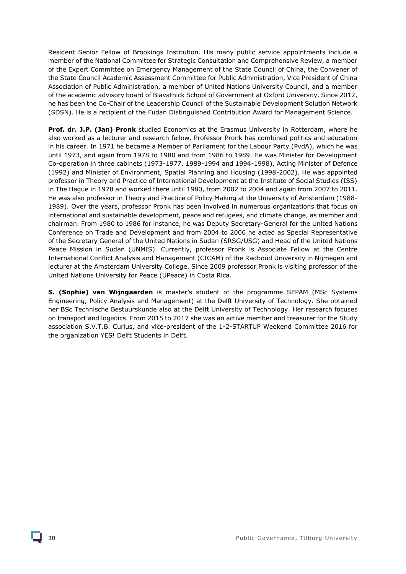Resident Senior Fellow of Brookings Institution. His many public service appointments include a member of the National Committee for Strategic Consultation and Comprehensive Review, a member of the Expert Committee on Emergency Management of the State Council of China, the Convener of the State Council Academic Assessment Committee for Public Administration, Vice President of China Association of Public Administration, a member of United Nations University Council, and a member of the academic advisory board of Blavatnick School of Government at Oxford University. Since 2012, he has been the Co-Chair of the Leadership Council of the Sustainable Development Solution Network (SDSN). He is a recipient of the Fudan Distinguished Contribution Award for Management Science.

**Prof. dr. J.P. (Jan) Pronk** studied Economics at the Erasmus University in Rotterdam, where he also worked as a lecturer and research fellow. Professor Pronk has combined politics and education in his career. In 1971 he became a Member of Parliament for the Labour Party (PvdA), which he was until 1973, and again from 1978 to 1980 and from 1986 to 1989. He was Minister for Development Co-operation in three cabinets (1973-1977, 1989-1994 and 1994-1998), Acting Minister of Defence (1992) and Minister of Environment, Spatial Planning and Housing (1998-2002). He was appointed professor in Theory and Practice of International Development at the Institute of Social Studies (ISS) in The Hague in 1978 and worked there until 1980, from 2002 to 2004 and again from 2007 to 2011. He was also professor in Theory and Practice of Policy Making at the University of Amsterdam (1988- 1989). Over the years, professor Pronk has been involved in numerous organizations that focus on international and sustainable development, peace and refugees, and climate change, as member and chairman. From 1980 to 1986 for instance, he was Deputy Secretary-General for the United Nations Conference on Trade and Development and from 2004 to 2006 he acted as Special Representative of the Secretary General of the United Nations in Sudan (SRSG/USG) and Head of the United Nations Peace Mission in Sudan (UNMIS). Currently, professor Pronk is Associate Fellow at the Centre International Conflict Analysis and Management (CICAM) of the Radboud University in Nijmegen and lecturer at the Amsterdam University College. Since 2009 professor Pronk is visiting professor of the United Nations University for Peace (UPeace) in Costa Rica.

**S. (Sophie) van Wijngaarden** is master's student of the programme SEPAM (MSc Systems Engineering, Policy Analysis and Management) at the Delft University of Technology. She obtained her BSc Technische Bestuurskunde also at the Delft University of Technology. Her research focuses on transport and logistics. From 2015 to 2017 she was an active member and treasurer for the Study association S.V.T.B. Curius, and vice-president of the 1-2-STARTUP Weekend Committee 2016 for the organization YES! Delft Students in Delft.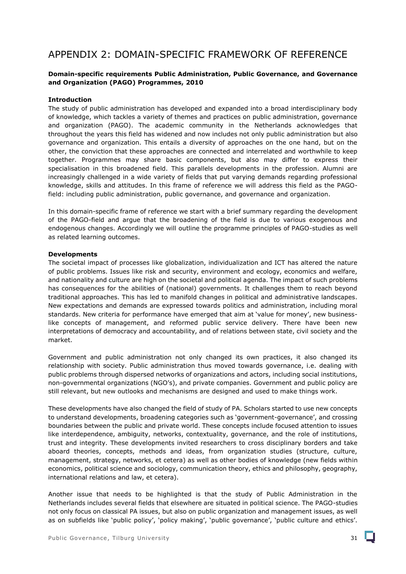## <span id="page-30-0"></span>APPENDIX 2: DOMAIN-SPECIFIC FRAMEWORK OF REFERENCE

## **Domain-specific requirements Public Administration, Public Governance, and Governance and Organization (PAGO) Programmes, 2010**

## **Introduction**

The study of public administration has developed and expanded into a broad interdisciplinary body of knowledge, which tackles a variety of themes and practices on public administration, governance and organization (PAGO). The academic community in the Netherlands acknowledges that throughout the years this field has widened and now includes not only public administration but also governance and organization. This entails a diversity of approaches on the one hand, but on the other, the conviction that these approaches are connected and interrelated and worthwhile to keep together. Programmes may share basic components, but also may differ to express their specialisation in this broadened field. This parallels developments in the profession. Alumni are increasingly challenged in a wide variety of fields that put varying demands regarding professional knowledge, skills and attitudes. In this frame of reference we will address this field as the PAGOfield: including public administration, public governance, and governance and organization.

In this domain-specific frame of reference we start with a brief summary regarding the development of the PAGO-field and argue that the broadening of the field is due to various exogenous and endogenous changes. Accordingly we will outline the programme principles of PAGO-studies as well as related learning outcomes.

#### **Developments**

The societal impact of processes like globalization, individualization and ICT has altered the nature of public problems. Issues like risk and security, environment and ecology, economics and welfare, and nationality and culture are high on the societal and political agenda. The impact of such problems has consequences for the abilities of (national) governments. It challenges them to reach beyond traditional approaches. This has led to manifold changes in political and administrative landscapes. New expectations and demands are expressed towards politics and administration, including moral standards. New criteria for performance have emerged that aim at 'value for money', new businesslike concepts of management, and reformed public service delivery. There have been new interpretations of democracy and accountability, and of relations between state, civil society and the market.

Government and public administration not only changed its own practices, it also changed its relationship with society. Public administration thus moved towards governance, i.e. dealing with public problems through dispersed networks of organizations and actors, including social institutions, non-governmental organizations (NGO's), and private companies. Government and public policy are still relevant, but new outlooks and mechanisms are designed and used to make things work.

These developments have also changed the field of study of PA. Scholars started to use new concepts to understand developments, broadening categories such as 'government-governance', and crossing boundaries between the public and private world. These concepts include focused attention to issues like interdependence, ambiguity, networks, contextuality, governance, and the role of institutions, trust and integrity. These developments invited researchers to cross disciplinary borders and take aboard theories, concepts, methods and ideas, from organization studies (structure, culture, management, strategy, networks, et cetera) as well as other bodies of knowledge (new fields within economics, political science and sociology, communication theory, ethics and philosophy, geography, international relations and law, et cetera).

Another issue that needs to be highlighted is that the study of Public Administration in the Netherlands includes several fields that elsewhere are situated in political science. The PAGO-studies not only focus on classical PA issues, but also on public organization and management issues, as well as on subfields like 'public policy', 'policy making', 'public governance', 'public culture and ethics'.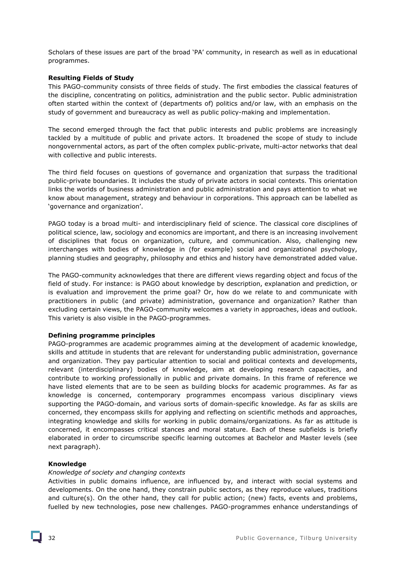Scholars of these issues are part of the broad 'PA' community, in research as well as in educational programmes.

### **Resulting Fields of Study**

This PAGO-community consists of three fields of study. The first embodies the classical features of the discipline, concentrating on politics, administration and the public sector. Public administration often started within the context of (departments of) politics and/or law, with an emphasis on the study of government and bureaucracy as well as public policy-making and implementation.

The second emerged through the fact that public interests and public problems are increasingly tackled by a multitude of public and private actors. It broadened the scope of study to include nongovernmental actors, as part of the often complex public-private, multi-actor networks that deal with collective and public interests.

The third field focuses on questions of governance and organization that surpass the traditional public-private boundaries. It includes the study of private actors in social contexts. This orientation links the worlds of business administration and public administration and pays attention to what we know about management, strategy and behaviour in corporations. This approach can be labelled as 'governance and organization'.

PAGO today is a broad multi- and interdisciplinary field of science. The classical core disciplines of political science, law, sociology and economics are important, and there is an increasing involvement of disciplines that focus on organization, culture, and communication. Also, challenging new interchanges with bodies of knowledge in (for example) social and organizational psychology, planning studies and geography, philosophy and ethics and history have demonstrated added value.

The PAGO-community acknowledges that there are different views regarding object and focus of the field of study. For instance: is PAGO about knowledge by description, explanation and prediction, or is evaluation and improvement the prime goal? Or, how do we relate to and communicate with practitioners in public (and private) administration, governance and organization? Rather than excluding certain views, the PAGO-community welcomes a variety in approaches, ideas and outlook. This variety is also visible in the PAGO-programmes.

### **Defining programme principles**

PAGO-programmes are academic programmes aiming at the development of academic knowledge, skills and attitude in students that are relevant for understanding public administration, governance and organization. They pay particular attention to social and political contexts and developments, relevant (interdisciplinary) bodies of knowledge, aim at developing research capacities, and contribute to working professionally in public and private domains. In this frame of reference we have listed elements that are to be seen as building blocks for academic programmes. As far as knowledge is concerned, contemporary programmes encompass various disciplinary views supporting the PAGO-domain, and various sorts of domain-specific knowledge. As far as skills are concerned, they encompass skills for applying and reflecting on scientific methods and approaches, integrating knowledge and skills for working in public domains/organizations. As far as attitude is concerned, it encompasses critical stances and moral stature. Each of these subfields is briefly elaborated in order to circumscribe specific learning outcomes at Bachelor and Master levels (see next paragraph).

### **Knowledge**

### *Knowledge of society and changing contexts*

Activities in public domains influence, are influenced by, and interact with social systems and developments. On the one hand, they constrain public sectors, as they reproduce values, traditions and culture(s). On the other hand, they call for public action; (new) facts, events and problems, fuelled by new technologies, pose new challenges. PAGO-programmes enhance understandings of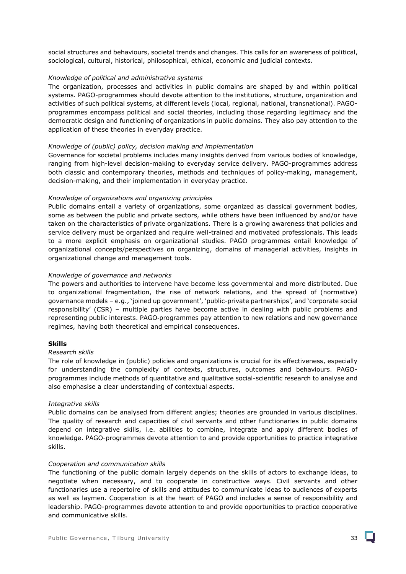social structures and behaviours, societal trends and changes. This calls for an awareness of political, sociological, cultural, historical, philosophical, ethical, economic and judicial contexts.

### *Knowledge of political and administrative systems*

The organization, processes and activities in public domains are shaped by and within political systems. PAGO-programmes should devote attention to the institutions, structure, organization and activities of such political systems, at different levels (local, regional, national, transnational). PAGOprogrammes encompass political and social theories, including those regarding legitimacy and the democratic design and functioning of organizations in public domains. They also pay attention to the application of these theories in everyday practice.

### *Knowledge of (public) policy, decision making and implementation*

Governance for societal problems includes many insights derived from various bodies of knowledge, ranging from high-level decision-making to everyday service delivery. PAGO-programmes address both classic and contemporary theories, methods and techniques of policy-making, management, decision-making, and their implementation in everyday practice.

### *Knowledge of organizations and organizing principles*

Public domains entail a variety of organizations, some organized as classical government bodies, some as between the public and private sectors, while others have been influenced by and/or have taken on the characteristics of private organizations. There is a growing awareness that policies and service delivery must be organized and require well-trained and motivated professionals. This leads to a more explicit emphasis on organizational studies. PAGO programmes entail knowledge of organizational concepts/perspectives on organizing, domains of managerial activities, insights in organizational change and management tools.

#### *Knowledge of governance and networks*

The powers and authorities to intervene have become less governmental and more distributed. Due to organizational fragmentation, the rise of network relations, and the spread of (normative) governance models – e.g., 'joined up government', 'public-private partnerships', and 'corporate social responsibility' (CSR) – multiple parties have become active in dealing with public problems and representing public interests. PAGO‐programmes pay attention to new relations and new governance regimes, having both theoretical and empirical consequences.

#### **Skills**

#### *Research skills*

The role of knowledge in (public) policies and organizations is crucial for its effectiveness, especially for understanding the complexity of contexts, structures, outcomes and behaviours. PAGOprogrammes include methods of quantitative and qualitative social-scientific research to analyse and also emphasise a clear understanding of contextual aspects.

#### *Integrative skills*

Public domains can be analysed from different angles; theories are grounded in various disciplines. The quality of research and capacities of civil servants and other functionaries in public domains depend on integrative skills, i.e. abilities to combine, integrate and apply different bodies of knowledge. PAGO-programmes devote attention to and provide opportunities to practice integrative skills.

#### *Cooperation and communication skills*

The functioning of the public domain largely depends on the skills of actors to exchange ideas, to negotiate when necessary, and to cooperate in constructive ways. Civil servants and other functionaries use a repertoire of skills and attitudes to communicate ideas to audiences of experts as well as laymen. Cooperation is at the heart of PAGO and includes a sense of responsibility and leadership. PAGO-programmes devote attention to and provide opportunities to practice cooperative and communicative skills.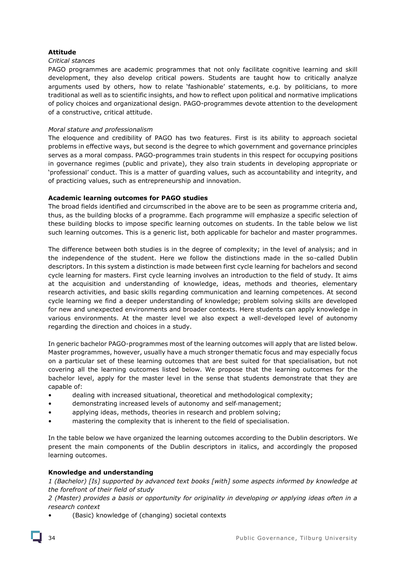## **Attitude**

### *Critical stances*

PAGO programmes are academic programmes that not only facilitate cognitive learning and skill development, they also develop critical powers. Students are taught how to critically analyze arguments used by others, how to relate 'fashionable' statements, e.g. by politicians, to more traditional as well as to scientific insights, and how to reflect upon political and normative implications of policy choices and organizational design. PAGO-programmes devote attention to the development of a constructive, critical attitude.

### *Moral stature and professionalism*

The eloquence and credibility of PAGO has two features. First is its ability to approach societal problems in effective ways, but second is the degree to which government and governance principles serves as a moral compass. PAGO-programmes train students in this respect for occupying positions in governance regimes (public and private), they also train students in developing appropriate or 'professional' conduct. This is a matter of guarding values, such as accountability and integrity, and of practicing values, such as entrepreneurship and innovation.

## **Academic learning outcomes for PAGO studies**

The broad fields identified and circumscribed in the above are to be seen as programme criteria and, thus, as the building blocks of a programme. Each programme will emphasize a specific selection of these building blocks to impose specific learning outcomes on students. In the table below we list such learning outcomes. This is a generic list, both applicable for bachelor and master programmes.

The difference between both studies is in the degree of complexity; in the level of analysis; and in the independence of the student. Here we follow the distinctions made in the so-called Dublin descriptors. In this system a distinction is made between first cycle learning for bachelors and second cycle learning for masters. First cycle learning involves an introduction to the field of study. It aims at the acquisition and understanding of knowledge, ideas, methods and theories, elementary research activities, and basic skills regarding communication and learning competences. At second cycle learning we find a deeper understanding of knowledge; problem solving skills are developed for new and unexpected environments and broader contexts. Here students can apply knowledge in various environments. At the master level we also expect a well-developed level of autonomy regarding the direction and choices in a study.

In generic bachelor PAGO-programmes most of the learning outcomes will apply that are listed below. Master programmes, however, usually have a much stronger thematic focus and may especially focus on a particular set of these learning outcomes that are best suited for that specialisation, but not covering all the learning outcomes listed below. We propose that the learning outcomes for the bachelor level, apply for the master level in the sense that students demonstrate that they are capable of:

- dealing with increased situational, theoretical and methodological complexity;
- demonstrating increased levels of autonomy and self‐management;
- applying ideas, methods, theories in research and problem solving;
- mastering the complexity that is inherent to the field of specialisation.

In the table below we have organized the learning outcomes according to the Dublin descriptors. We present the main components of the Dublin descriptors in italics, and accordingly the proposed learning outcomes.

## **Knowledge and understanding**

*1 (Bachelor) [Is] supported by advanced text books [with] some aspects informed by knowledge at the forefront of their field of study*

*2 (Master) provides a basis or opportunity for originality in developing or applying ideas often in a research context*

• (Basic) knowledge of (changing) societal contexts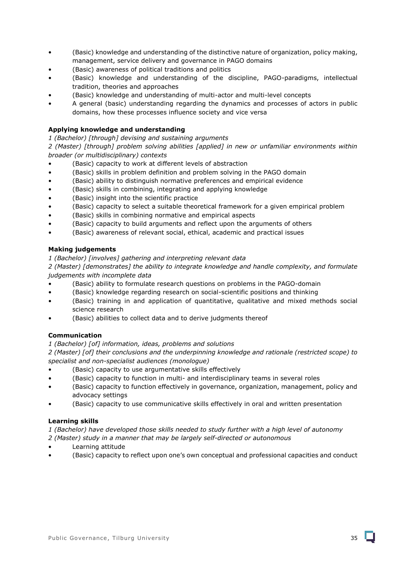- (Basic) knowledge and understanding of the distinctive nature of organization, policy making, management, service delivery and governance in PAGO domains
- (Basic) awareness of political traditions and politics
- (Basic) knowledge and understanding of the discipline, PAGO-paradigms, intellectual tradition, theories and approaches
- (Basic) knowledge and understanding of multi-actor and multi-level concepts
- A general (basic) understanding regarding the dynamics and processes of actors in public domains, how these processes influence society and vice versa

## **Applying knowledge and understanding**

*1 (Bachelor) [through] devising and sustaining arguments*

*2 (Master) [through] problem solving abilities [applied] in new or unfamiliar environments within broader (or multidisciplinary) contexts*

- (Basic) capacity to work at different levels of abstraction
- (Basic) skills in problem definition and problem solving in the PAGO domain
- (Basic) ability to distinguish normative preferences and empirical evidence
- (Basic) skills in combining, integrating and applying knowledge
- (Basic) insight into the scientific practice
- (Basic) capacity to select a suitable theoretical framework for a given empirical problem
- (Basic) skills in combining normative and empirical aspects
- (Basic) capacity to build arguments and reflect upon the arguments of others
- (Basic) awareness of relevant social, ethical, academic and practical issues

## **Making judgements**

*1 (Bachelor) [involves] gathering and interpreting relevant data*

*2 (Master) [demonstrates] the ability to integrate knowledge and handle complexity, and formulate judgements with incomplete data*

- (Basic) ability to formulate research questions on problems in the PAGO-domain
- (Basic) knowledge regarding research on social-scientific positions and thinking
- (Basic) training in and application of quantitative, qualitative and mixed methods social science research
- (Basic) abilities to collect data and to derive judgments thereof

## **Communication**

*1 (Bachelor) [of] information, ideas, problems and solutions*

*2 (Master) [of] their conclusions and the underpinning knowledge and rationale (restricted scope) to specialist and non-specialist audiences (monologue)*

- (Basic) capacity to use argumentative skills effectively
- (Basic) capacity to function in multi- and interdisciplinary teams in several roles
- (Basic) capacity to function effectively in governance, organization, management, policy and advocacy settings
- (Basic) capacity to use communicative skills effectively in oral and written presentation

## **Learning skills**

*1 (Bachelor) have developed those skills needed to study further with a high level of autonomy*

*2 (Master) study in a manner that may be largely self-directed or autonomous*

- Learning attitude
- (Basic) capacity to reflect upon one's own conceptual and professional capacities and conduct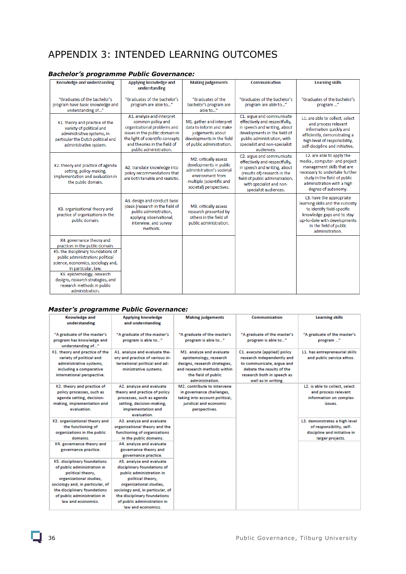## <span id="page-35-0"></span>APPENDIX 3: INTENDED LEARNING OUTCOMES

| Knowledge and understanding<br>Applying knowledge and<br>understanding                                                                                                                                                                                                                                                   |                                                                                                                                                                                                               | <b>Making judgements</b>                                                                                                                                | Communication                                                                                                                                                                                                      | <b>Learning skills</b>                                                                                                                                                                                          |
|--------------------------------------------------------------------------------------------------------------------------------------------------------------------------------------------------------------------------------------------------------------------------------------------------------------------------|---------------------------------------------------------------------------------------------------------------------------------------------------------------------------------------------------------------|---------------------------------------------------------------------------------------------------------------------------------------------------------|--------------------------------------------------------------------------------------------------------------------------------------------------------------------------------------------------------------------|-----------------------------------------------------------------------------------------------------------------------------------------------------------------------------------------------------------------|
| "Graduates of the bachelor's<br>program have basic knowledge and<br>understanding of"                                                                                                                                                                                                                                    | "Graduates of the bachelor's<br>program are able to"                                                                                                                                                          | "Graduates of the<br>bachelor's program are<br>able to"                                                                                                 | "Graduates of the bachelor's<br>program are able to"                                                                                                                                                               | "Graduates of the bachelor's<br>program"                                                                                                                                                                        |
| K1. theory and practice of the<br>variety of political and<br>administrative systems, in<br>particular the Dutch political and<br>administrative system.                                                                                                                                                                 | A1. analyze and interpret<br>common policy and<br>organizational problems and<br>issues in the public domain in<br>the light of scientific concepts<br>and theories in the field of<br>public administration. | M1. gather and interpret<br>data to inform and make<br>judgements about<br>developments in the field<br>of public administration.                       | C1. argue and communicate<br>effectively and respectfully,<br>in speech and writing, about<br>developments in the field of<br>public administration, with<br>specialist and non-specialist<br>audiences.           | L1. are able to collect, select<br>and process relevant<br>information quickly and<br>efficiently, demonstrating a<br>high level of responsibility,<br>self-discipline and initiative.                          |
| K2. theory and practice of agenda<br>setting, policy-making,<br>implementation and evaluation in<br>the public domain.                                                                                                                                                                                                   | A2. translate knowledge into<br>policy recommendations that<br>are both tenable and realistic.                                                                                                                | M2. critically assess<br>developments in public<br>administration's societal<br>environment from<br>multiple (scientific and<br>societal) perspectives. | C2, argue and communicate<br>effectively and respectfully,<br>in speech and writing, about<br>(results of) research in the<br>field of public administration,<br>with specialist and non-<br>specialist audiences. | L2, are able to apply the<br>media-, computer- and project<br>management skills that are<br>necessary to undertake further<br>study in the field of public<br>administration with a high<br>degree of autonomy. |
| K3. organizational theory and<br>practice of organizations in the<br>public domain.                                                                                                                                                                                                                                      | A3. design and conduct basic<br>(desk-)research in the field of<br>public administration,<br>applying observational,<br>interview, and survey<br>methods.                                                     | M3. critically assess<br>research presented by<br>others in the field of<br>public administration.                                                      |                                                                                                                                                                                                                    | L3. have the appropriate<br>learning skills and the curiosity<br>to identify field-specific<br>knowledge gaps and to stay<br>up-to-date with developments<br>in the field of public<br>administration.          |
| K4. governance theory and<br>practices in the public domain.<br>K5. the disciplinary foundations of<br>public administration: political<br>science, economics, sociology and,<br>in particular, law.<br>K6. epistemology, research<br>designs, research strategies, and<br>research methods in public<br>administration. |                                                                                                                                                                                                               |                                                                                                                                                         |                                                                                                                                                                                                                    |                                                                                                                                                                                                                 |

## *Bachelor's programme Public Governance:*

## *Master's programme Public Governance:*

| <b>Knowledge and</b><br>understanding                                                                                                                                                                                                | <b>Applying knowledge</b><br>and understanding                                                                                                                                                                                                               | <b>Making judgements</b>                                                                                                                                     | <b>Communication</b>                                                                                                                                                      | <b>Learning skills</b>                                                                                        |
|--------------------------------------------------------------------------------------------------------------------------------------------------------------------------------------------------------------------------------------|--------------------------------------------------------------------------------------------------------------------------------------------------------------------------------------------------------------------------------------------------------------|--------------------------------------------------------------------------------------------------------------------------------------------------------------|---------------------------------------------------------------------------------------------------------------------------------------------------------------------------|---------------------------------------------------------------------------------------------------------------|
| "A graduate of the master's<br>program has knowledge and<br>understanding of"                                                                                                                                                        | "A graduate of the master's<br>program is able to"                                                                                                                                                                                                           | "A graduate of the master's<br>program is able to"                                                                                                           | "A graduate of the master's<br>program is able to"                                                                                                                        | "A graduate of the master's<br>program "                                                                      |
| K1. theory and practice of the<br>variety of political and<br>administrative systems.<br>including a comparative<br>international perspective.                                                                                       | A1. analyze and evaluate the-<br>ory and practice of various in-<br>ternational political and ad-<br>ministrative systems.                                                                                                                                   | M1. analyze and evaluate<br>epistemology, research<br>designs, research strategies,<br>and research methods within<br>the field of public<br>administration. | C1. execute (applied) policy<br>research independently and<br>to communicate, argue and<br>debate the results of the<br>research both in speech as<br>well as in writing. | L1. has entrepreneurial skills<br>and public service ethos.                                                   |
| K2. theory and practice of<br>policy processes, such as<br>agenda setting, decision-<br>making, implementation and<br>evaluation.                                                                                                    | A2, analyze and evaluate<br>theory and practice of policy<br>processes, such as agenda<br>setting, decision-making,<br>implementation and<br>evaluation.                                                                                                     | M2, contribute to intervene<br>in governance challenges,<br>taking into account political,<br>juridical and economic<br>perspectives.                        |                                                                                                                                                                           | L2. is able to collect, select<br>and process relevant<br>information on complex<br>issues.                   |
| K3. organizational theory and<br>the functioning of<br>organizations in the public<br>domains.                                                                                                                                       | A3. analyze and evaluate<br>organizational theory and the<br>functioning of organizations<br>in the public domains.                                                                                                                                          |                                                                                                                                                              |                                                                                                                                                                           | L3. demonstrates a high level<br>of responsibility, self-<br>discipline and initiative in<br>larger projects. |
| K4. governance theory and<br>governance practice.                                                                                                                                                                                    | A4. analyze and evaluate<br>governance theory and<br>governance practice.                                                                                                                                                                                    |                                                                                                                                                              |                                                                                                                                                                           |                                                                                                               |
| K5. disciplinary foundations<br>of public administration in<br>political theory,<br>organizational studies,<br>sociology and, in particular, of<br>the disciplinary foundations<br>of public administration in<br>law and economics. | A5, analyze and evaluate<br>disciplinary foundations of<br>public administration in<br>political theory,<br>organizational studies,<br>sociology and, in particular, of<br>the disciplinary foundations<br>of public administration in<br>law and economics. |                                                                                                                                                              |                                                                                                                                                                           |                                                                                                               |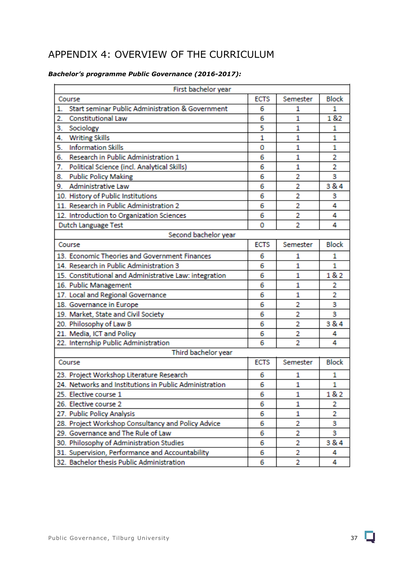## <span id="page-36-0"></span>APPENDIX 4: OVERVIEW OF THE CURRICULUM

## *Bachelor's programme Public Governance (2016-2017):*

| First bachelor year                                    |             |                |              |  |  |  |
|--------------------------------------------------------|-------------|----------------|--------------|--|--|--|
| Course                                                 | <b>ECTS</b> | Semester       | <b>Block</b> |  |  |  |
| Start seminar Public Administration & Government<br>1. | 6           | 1              | 1            |  |  |  |
| <b>Constitutional Law</b><br>2.                        | 6           | 1              | 1 & 2        |  |  |  |
| 3.<br>Sociology                                        | 5           | 1              | 1            |  |  |  |
| <b>Writing Skills</b><br>4.                            | 1           | 1              | 1            |  |  |  |
| <b>Information Skills</b><br>5.                        | 0           | 1              | 1            |  |  |  |
| 6.<br>Research in Public Administration 1              | 6           | 1              | 2            |  |  |  |
| Political Science (incl. Analytical Skills)<br>7.      | 6           | 1              | 2            |  |  |  |
| <b>Public Policy Making</b><br>8.                      | 6           | 2              | 3            |  |  |  |
| <b>Administrative Law</b><br>9.                        | 6           | 2              | 3&4          |  |  |  |
| 10. History of Public Institutions                     | 6           | $\overline{2}$ | 3            |  |  |  |
| 11. Research in Public Administration 2                | 6           | 2              | 4            |  |  |  |
| 12. Introduction to Organization Sciences              | 6           | 2              | 4            |  |  |  |
| Dutch Language Test                                    | 0           | 2              | 4            |  |  |  |
| Second bachelor year                                   |             |                |              |  |  |  |
| Course                                                 | <b>ECTS</b> | Semester       | <b>Block</b> |  |  |  |
| 13. Economic Theories and Government Finances          | 6           | 1              | 1            |  |  |  |
| 14. Research in Public Administration 3                | 6           | 1              | 1            |  |  |  |
| 15. Constitutional and Administrative Law: integration | 6           | 1              | 1&2          |  |  |  |
| 16. Public Management                                  | 6           | 1              | 2            |  |  |  |
| 17. Local and Regional Governance                      | 6           | 1              | 2            |  |  |  |
| 18. Governance in Europe                               | 6           | 2              | 3            |  |  |  |
| 19. Market, State and Civil Society                    | 6           | 2              | 3            |  |  |  |
| 20. Philosophy of Law B                                | 6           | $\overline{2}$ | 3 & 4        |  |  |  |
| 21. Media, ICT and Policy                              | 6           | 2              | 4            |  |  |  |
| 22. Internship Public Administration                   | 6           | $\overline{2}$ | 4            |  |  |  |
| Third bachelor year                                    |             |                |              |  |  |  |
| Course                                                 | <b>ECTS</b> | Semester       | <b>Block</b> |  |  |  |
| 23. Project Workshop Literature Research               | 6           | 1              | 1            |  |  |  |
| 24. Networks and Institutions in Public Administration | 6           | 1              | $\mathbf{1}$ |  |  |  |
| 25. Elective course 1                                  | 6           | 1              | 1&2          |  |  |  |
| 26. Elective course 2                                  | 6           | 1              | 2            |  |  |  |
| 27. Public Policy Analysis                             | 6           | 1              | 2            |  |  |  |
| 28. Project Workshop Consultancy and Policy Advice     | 6           | 2              | з            |  |  |  |
| 29. Governance and The Rule of Law                     | 6           | 2              | з            |  |  |  |
| 30. Philosophy of Administration Studies               | 6           | 2              | 3&4          |  |  |  |
| 31. Supervision, Performance and Accountability        | 6           | 2              | 4            |  |  |  |
| 32. Bachelor thesis Public Administration              | 6           | 2              | 4            |  |  |  |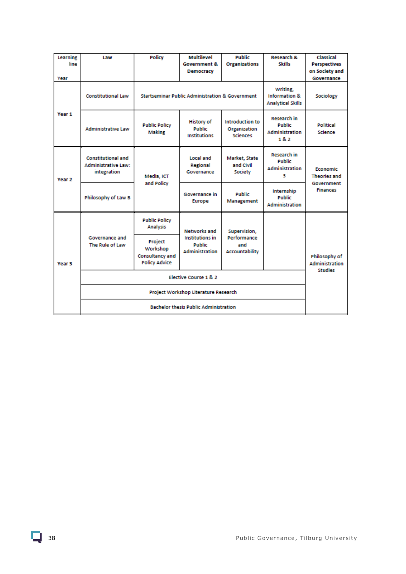| Learning<br>line<br>Year | Law                                                                    | Policy                                                                                                                         | <b>Multilevel</b><br><b>Government &amp;</b><br><b>Democracy</b> | Public<br><b>Organizations</b>                            | <b>Research &amp;</b><br><b>Skills</b>                               | Classical<br><b>Perspectives</b><br>on Society and<br>Governance |
|--------------------------|------------------------------------------------------------------------|--------------------------------------------------------------------------------------------------------------------------------|------------------------------------------------------------------|-----------------------------------------------------------|----------------------------------------------------------------------|------------------------------------------------------------------|
|                          | <b>Constitutional Law</b>                                              | Writing,<br><b>Startseminar Public Administration &amp; Government</b><br><b>Information &amp;</b><br><b>Analytical Skills</b> |                                                                  |                                                           |                                                                      | Sociology                                                        |
| Year <sub>1</sub>        | <b>Administrative Law</b>                                              | <b>Public Policy</b><br>Making                                                                                                 | <b>History of</b><br><b>Public</b><br>Institutions               | <b>Introduction to</b><br>Organization<br><b>Sciences</b> | <b>Research in</b><br><b>Public</b><br><b>Administration</b><br>1& 2 | Political<br>Science                                             |
| Year <sub>2</sub>        | <b>Constitutional and</b><br><b>Administrative Law:</b><br>integration | Media, ICT                                                                                                                     | Local and<br>Regional<br>Governance                              | Market, State<br>and Civil<br>Society                     | <b>Research in</b><br><b>Public</b><br><b>Administration</b><br>В    | Economic<br><b>Theories</b> and                                  |
|                          | Philosophy of Law B                                                    | and Policy                                                                                                                     | <b>Governance in</b><br>Europe                                   | Public<br>Management                                      | Internship<br><b>Public</b><br><b>Administration</b>                 | Government<br>Finances                                           |
|                          |                                                                        | <b>Public Policy</b><br><b>Analysis</b>                                                                                        | <b>Networks and</b>                                              | Supervision.                                              |                                                                      |                                                                  |
| Year <sub>3</sub>        | <b>Governance and</b><br>The Rule of Law                               | Project<br>Workshop<br>Consultancy and<br><b>Policy Advice</b>                                                                 | <b>Institutions in</b><br><b>Public</b><br><b>Administration</b> | Performance<br>and<br><b>Accountability</b>               |                                                                      | Philosophy of<br><b>Administration</b><br><b>Studies</b>         |
|                          | Elective Course 1 & 2                                                  |                                                                                                                                |                                                                  |                                                           |                                                                      |                                                                  |
|                          | Project Workshop Literature Research                                   |                                                                                                                                |                                                                  |                                                           |                                                                      |                                                                  |
|                          | <b>Bachelor thesis Public Administration</b>                           |                                                                                                                                |                                                                  |                                                           |                                                                      |                                                                  |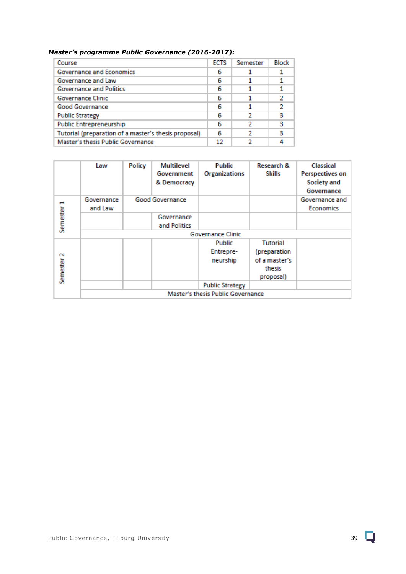| Course                                               | <b>ECTS</b> | Semester | <b>Block</b> |
|------------------------------------------------------|-------------|----------|--------------|
| <b>Governance and Economics</b>                      | 6           |          |              |
| Governance and Law                                   | 6           |          |              |
| <b>Governance and Politics</b>                       | 6           |          |              |
| Governance Clinic                                    | 6           |          | 2            |
| <b>Good Governance</b>                               | 6           |          | 2            |
| <b>Public Strategy</b>                               | 6           |          | 3            |
| <b>Public Entrepreneurship</b>                       | 6           |          | 3            |
| Tutorial (preparation of a master's thesis proposal) | 6           | 2        | 3            |
| Master's thesis Public Governance                    | 12          |          |              |

## *Master's programme Public Governance (2016-2017):*

|                       | Law                   | Policy | <b>Multilevel</b><br>Government<br>& Democracy | Public<br><b>Organizations</b>         | <b>Research &amp;</b><br>Skills                                         | Classical<br>Perspectives on<br>Society and<br>Governance |
|-----------------------|-----------------------|--------|------------------------------------------------|----------------------------------------|-------------------------------------------------------------------------|-----------------------------------------------------------|
|                       | Governance<br>and Law |        | <b>Good Governance</b>                         |                                        |                                                                         | Governance and<br><b>Economics</b>                        |
| Semester <sub>1</sub> |                       |        | Governance<br>and Politics                     |                                        |                                                                         |                                                           |
|                       |                       |        |                                                | <b>Governance Clinic</b>               |                                                                         |                                                           |
| Semester <sub>2</sub> |                       |        |                                                | <b>Public</b><br>Entrepre-<br>neurship | <b>Tutorial</b><br>(preparation<br>of a master's<br>thesis<br>proposal) |                                                           |
|                       |                       |        |                                                | <b>Public Strategy</b>                 |                                                                         |                                                           |
|                       |                       |        |                                                | Master's thesis Public Governance      |                                                                         |                                                           |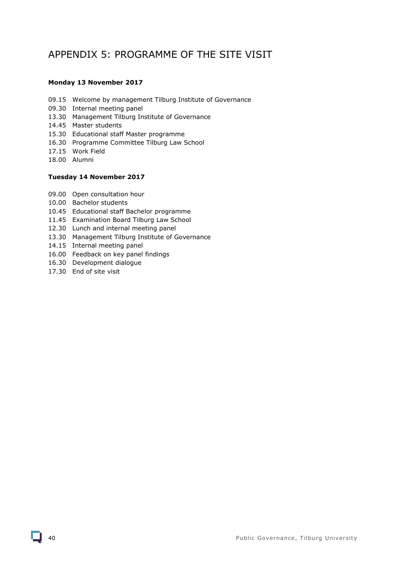## <span id="page-39-0"></span>APPENDIX 5: PROGRAMME OF THE SITE VISIT

## **Monday 13 November 2017**

- 09.15 Welcome by management Tilburg Institute of Governance
- 09.30 Internal meeting panel
- 13.30 Management Tilburg Institute of Governance
- 14.45 Master students
- 15.30 Educational staff Master programme
- 16.30 Programme Committee Tilburg Law School
- 17.15 Work Field
- 18.00 Alumni

## **Tuesday 14 November 2017**

- 09.00 Open consultation hour
- 10.00 Bachelor students
- 10.45 Educational staff Bachelor programme
- 11.45 Examination Board Tilburg Law School
- 12.30 Lunch and internal meeting panel
- 13.30 Management Tilburg Institute of Governance
- 14.15 Internal meeting panel
- 16.00 Feedback on key panel findings
- 16.30 Development dialogue
- 17.30 End of site visit